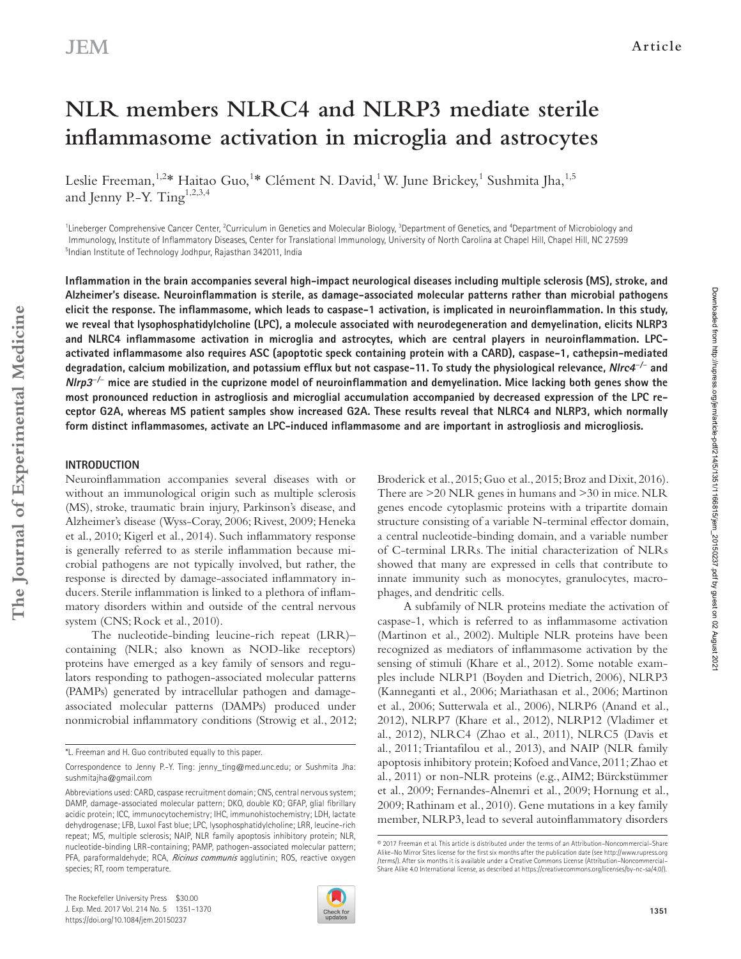# **NLR members NLRC4 and NLRP3 mediate sterile inflammasome activation in microglia and astrocytes**

Leslie Freeman,<sup>1,2</sup>\* Haitao Guo,<sup>1</sup>\* Clément N. David,<sup>1</sup> W. June Brickey,<sup>1</sup> Sushmita Jha,<sup>1,5</sup> and Jenny P.-Y. Ting<sup>1,2,3,4</sup>

<sup>1</sup> Lineberger Comprehensive Cancer Center, <sup>2</sup> Curriculum in Genetics and Molecular Biology, <sup>3</sup> Department of Genetics, and <sup>4</sup> Department of Microbiology and Immunology, Institute of Inflammatory Diseases, Center for Translational Immunology, University of North Carolina at Chapel Hill, Chapel Hill, NC 27599 5 Indian Institute of Technology Jodhpur, Rajasthan 342011, India

**Inflammation in the brain accompanies several high-impact neurological diseases including multiple sclerosis (MS), stroke, and Alzheimer's disease. neuroinflammation is sterile, as damage-associated molecular patterns rather than microbial pathogens elicit the response. the inflammasome, which leads to caspase-1 activation, is implicated in neuroinflammation. In this study, we reveal that lysophosphatidylcholine (LPc), a molecule associated with neurodegeneration and demyelination, elicits nLrP3 and nLrc4 inflammasome activation in microglia and astrocytes, which are central players in neuroinflammation. LPc**activated inflammasome also requires ASC (apoptotic speck containing protein with a CARD), caspase-1, cathepsin-mediated **degradation, calcium mobilization, and potassium efflux but not caspase-11. to study the physiological relevance, nlrc4** *−***/***−*  **and nlrp3** *−***/***−*  **mice are studied in the cuprizone model of neuroinflammation and demyelination. Mice lacking both genes show the most pronounced reduction in astrogliosis and microglial accumulation accompanied by decreased expression of the LPc re**ceptor G2A, whereas MS patient samples show increased G2A. These results reveal that NLRC4 and NLRP3, which normally **form distinct inflammasomes, activate an LPc-induced inflammasome and are important in astrogliosis and microgliosis.**

#### **IntroductIon**

Neuroinflammation accompanies several diseases with or without an immunological origin such as multiple sclerosis (MS), stroke, traumatic brain injury, Parkinson's disease, and Alzheimer's disease (Wyss-Coray, 2006; Rivest, 2009; Heneka et al., 2010; Kigerl et al., 2014). Such inflammatory response is generally referred to as sterile inflammation because microbial pathogens are not typically involved, but rather, the response is directed by damage-associated inflammatory inducers. Sterile inflammation is linked to a plethora of inflammatory disorders within and outside of the central nervous system (CNS; Rock et al., 2010).

The nucleotide-binding leucine-rich repeat (LRR)– containing (NLR; also known as NOD-like receptors) proteins have emerged as a key family of sensors and regulators responding to pathogen-associated molecular patterns (PAMPs) generated by intracellular pathogen and damageassociated molecular patterns (DAMPs) produced under nonmicrobial inflammatory conditions (Strowig et al., 2012;

Broderick et al., 2015; Guo et al., 2015; Broz and Dixit, 2016). There are >20 NLR genes in humans and >30 in mice. NLR genes encode cytoplasmic proteins with a tripartite domain structure consisting of a variable N-terminal effector domain, a central nucleotide-binding domain, and a variable number of C-terminal LRRs. The initial characterization of NLRs showed that many are expressed in cells that contribute to innate immunity such as monocytes, granulocytes, macrophages, and dendritic cells.

A subfamily of NLR proteins mediate the activation of caspase-1, which is referred to as inflammasome activation (Martinon et al., 2002). Multiple NLR proteins have been recognized as mediators of inflammasome activation by the sensing of stimuli (Khare et al., 2012). Some notable examples include NLRP1 (Boyden and Dietrich, 2006), NLRP3 (Kanneganti et al., 2006; Mariathasan et al., 2006; Martinon et al., 2006; Sutterwala et al., 2006), NLRP6 (Anand et al., 2012), NLRP7 (Khare et al., 2012), NLRP12 (Vladimer et al., 2012), NLRC4 (Zhao et al., 2011), NLRC5 (Davis et al., 2011; Triantafilou et al., 2013), and NAIP (NLR family apoptosis inhibitory protein; Kofoed and Vance, 2011; Zhao et al., 2011) or non-NLR proteins (e.g., AIM2; Bürckstümmer et al., 2009; Fernandes-Alnemri et al., 2009; Hornung et al., 2009; Rathinam et al., 2010). Gene mutations in a key family member, NLRP3, lead to several autoinflammatory disorders



Downloaded from http://rupress.org/jem/article-pdf/214/5/1351/1166815/jem\_20150237.pdf by guest on 02 August 2021

Downloaded from http://rupress.org/jem/article-pdf/214/5/1166815/jem\_20150237.pdf by guest on 02 August 202

<sup>\*</sup>L. Freeman and H. Guo contributed equally to this paper.

Correspondence to Jenny P.-Y. Ting: jenny\_ting@med.unc.edu; or Sushmita Jha: sushmitajha@gmail.com

Abbreviations used: CARD, caspase recruitment domain; CNS, central nervous system; DAMP, damage-associated molecular pattern; DKO, double KO; GFAP, glial fibrillary acidic protein; ICC, immunocytochemistry; IHC, immunohistochemistry; LDH, lactate dehydrogenase; LFB, Luxol Fast blue; LPC, lysophosphatidylcholine; LRR, leucine-rich repeat; MS, multiple sclerosis; NAIP, NLR family apoptosis inhibitory protein; NLR, nucleotide-binding LRR-containing; PAMP, pathogen-associated molecular pattern; PFA, paraformaldehyde; RCA, *Ricinus communis* agglutinin; ROS, reactive oxygen species; RT, room temperature.

<sup>© 2017</sup> Freeman et al. This article is distributed under the terms of an Attribution–Noncommercial–Share Alike–No Mirror Sites license for the first six months after the publication date (see http://www.rupress.org /terms /). After six months it is available under a Creative Commons License (Attribution–Noncommercial– Share Alike 4.0 International license, as described at https://creativecommons.org/licenses/by-nc-sa/4.0/).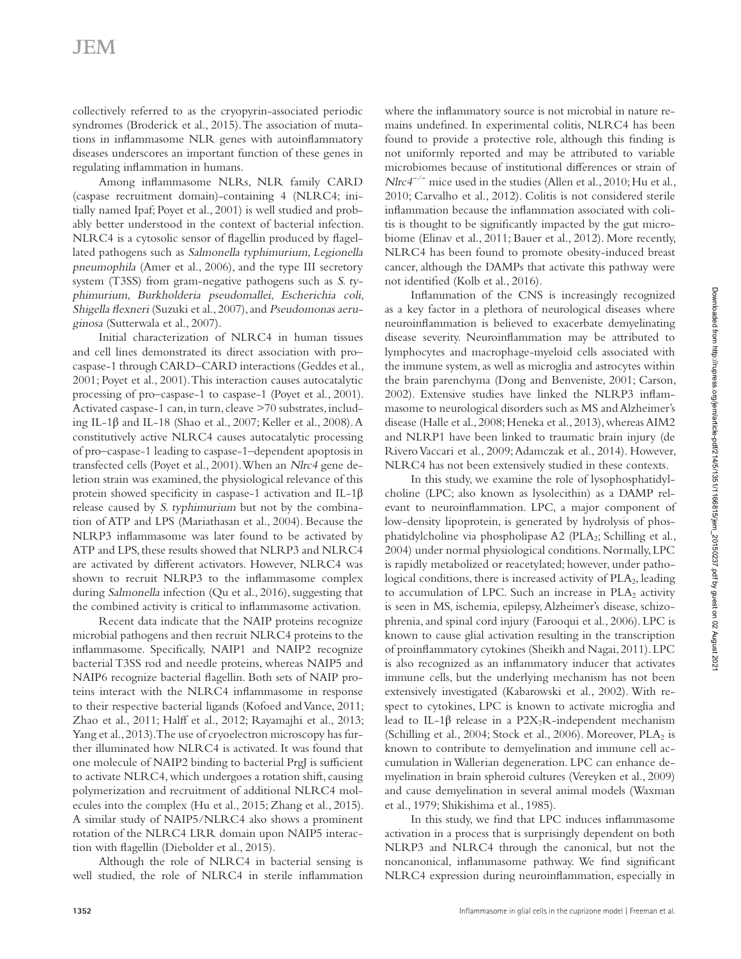collectively referred to as the cryopyrin-associated periodic syndromes (Broderick et al., 2015). The association of mutations in inflammasome NLR genes with autoinflammatory diseases underscores an important function of these genes in regulating inflammation in humans.

Among inflammasome NLRs, NLR family CARD (caspase recruitment domain)-containing 4 (NLRC4; initially named Ipaf; Poyet et al., 2001) is well studied and probably better understood in the context of bacterial infection. NLRC4 is a cytosolic sensor of flagellin produced by flagellated pathogens such as Salmonella typhimurium, Legionella pneumophila (Amer et al., 2006), and the type III secretory system (T3SS) from gram-negative pathogens such as S. typhimurium, Burkholderia pseudomallei, Escherichia coli, Shigella flexneri (Suzuki et al., 2007), and Pseudomonas aeruginosa (Sutterwala et al., 2007).

Initial characterization of NLRC4 in human tissues and cell lines demonstrated its direct association with pro– caspase-1 through CARD–CARD interactions (Geddes et al., 2001; Poyet et al., 2001). This interaction causes autocatalytic processing of pro–caspase-1 to caspase-1 (Poyet et al., 2001). Activated caspase-1 can, in turn, cleave >70 substrates, including IL-1β and IL-18 (Shao et al., 2007; Keller et al., 2008). A constitutively active NLRC4 causes autocatalytic processing of pro–caspase-1 leading to caspase-1–dependent apoptosis in transfected cells (Poyet et al., 2001). When an Nlrc4 gene deletion strain was examined, the physiological relevance of this protein showed specificity in caspase-1 activation and IL-1β release caused by S. typhimurium but not by the combination of ATP and LPS (Mariathasan et al., 2004). Because the NLRP3 inflammasome was later found to be activated by ATP and LPS, these results showed that NLRP3 and NLRC4 are activated by different activators. However, NLRC4 was shown to recruit NLRP3 to the inflammasome complex during Salmonella infection (Qu et al., 2016), suggesting that the combined activity is critical to inflammasome activation.

Recent data indicate that the NAIP proteins recognize microbial pathogens and then recruit NLRC4 proteins to the inflammasome. Specifically, NAIP1 and NAIP2 recognize bacterial T3SS rod and needle proteins, whereas NAIP5 and NAIP6 recognize bacterial flagellin. Both sets of NAIP proteins interact with the NLRC4 inflammasome in response to their respective bacterial ligands (Kofoed and Vance, 2011; Zhao et al., 2011; Halff et al., 2012; Rayamajhi et al., 2013; Yang et al., 2013). The use of cryoelectron microscopy has further illuminated how NLRC4 is activated. It was found that one molecule of NAIP2 binding to bacterial PrgJ is sufficient to activate NLRC4, which undergoes a rotation shift, causing polymerization and recruitment of additional NLRC4 molecules into the complex (Hu et al., 2015; Zhang et al., 2015). A similar study of NAIP5/NLRC4 also shows a prominent rotation of the NLRC4 LRR domain upon NAIP5 interaction with flagellin (Diebolder et al., 2015).

Although the role of NLRC4 in bacterial sensing is well studied, the role of NLRC4 in sterile inflammation where the inflammatory source is not microbial in nature remains undefined. In experimental colitis, NLRC4 has been found to provide a protective role, although this finding is not uniformly reported and may be attributed to variable microbiomes because of institutional differences or strain of *Nlrc4<sup>-/−</sup>* mice used in the studies (Allen et al., 2010; Hu et al., 2010; Carvalho et al., 2012). Colitis is not considered sterile inflammation because the inflammation associated with colitis is thought to be significantly impacted by the gut microbiome (Elinav et al., 2011; Bauer et al., 2012). More recently, NLRC4 has been found to promote obesity-induced breast cancer, although the DAMPs that activate this pathway were not identified (Kolb et al., 2016).

Inflammation of the CNS is increasingly recognized as a key factor in a plethora of neurological diseases where neuroinflammation is believed to exacerbate demyelinating disease severity. Neuroinflammation may be attributed to lymphocytes and macrophage-myeloid cells associated with the immune system, as well as microglia and astrocytes within the brain parenchyma (Dong and Benveniste, 2001; Carson, 2002). Extensive studies have linked the NLRP3 inflammasome to neurological disorders such as MS and Alzheimer's disease (Halle et al., 2008; Heneka et al., 2013), whereas AIM2 and NLRP1 have been linked to traumatic brain injury (de Rivero Vaccari et al., 2009; Adamczak et al., 2014). However, NLRC4 has not been extensively studied in these contexts.

In this study, we examine the role of lysophosphatidylcholine (LPC; also known as lysolecithin) as a DAMP relevant to neuroinflammation. LPC, a major component of low-density lipoprotein, is generated by hydrolysis of phosphatidylcholine via phospholipase A2 (PLA<sub>2</sub>; Schilling et al., 2004) under normal physiological conditions. Normally, LPC is rapidly metabolized or reacetylated; however, under pathological conditions, there is increased activity of  $PLA<sub>2</sub>$ , leading to accumulation of LPC. Such an increase in  $PLA_2$  activity is seen in MS, ischemia, epilepsy, Alzheimer's disease, schizophrenia, and spinal cord injury (Farooqui et al., 2006). LPC is known to cause glial activation resulting in the transcription of proinflammatory cytokines (Sheikh and Nagai, 2011). LPC is also recognized as an inflammatory inducer that activates immune cells, but the underlying mechanism has not been extensively investigated (Kabarowski et al., 2002). With respect to cytokines, LPC is known to activate microglia and lead to IL-1 $\beta$  release in a P2X<sub>7</sub>R-independent mechanism (Schilling et al., 2004; Stock et al., 2006). Moreover,  $PLA_2$  is known to contribute to demyelination and immune cell accumulation in Wallerian degeneration. LPC can enhance demyelination in brain spheroid cultures (Vereyken et al., 2009) and cause demyelination in several animal models (Waxman et al., 1979; Shikishima et al., 1985).

In this study, we find that LPC induces inflammasome activation in a process that is surprisingly dependent on both NLRP3 and NLRC4 through the canonical, but not the noncanonical, inflammasome pathway. We find significant NLRC4 expression during neuroinflammation, especially in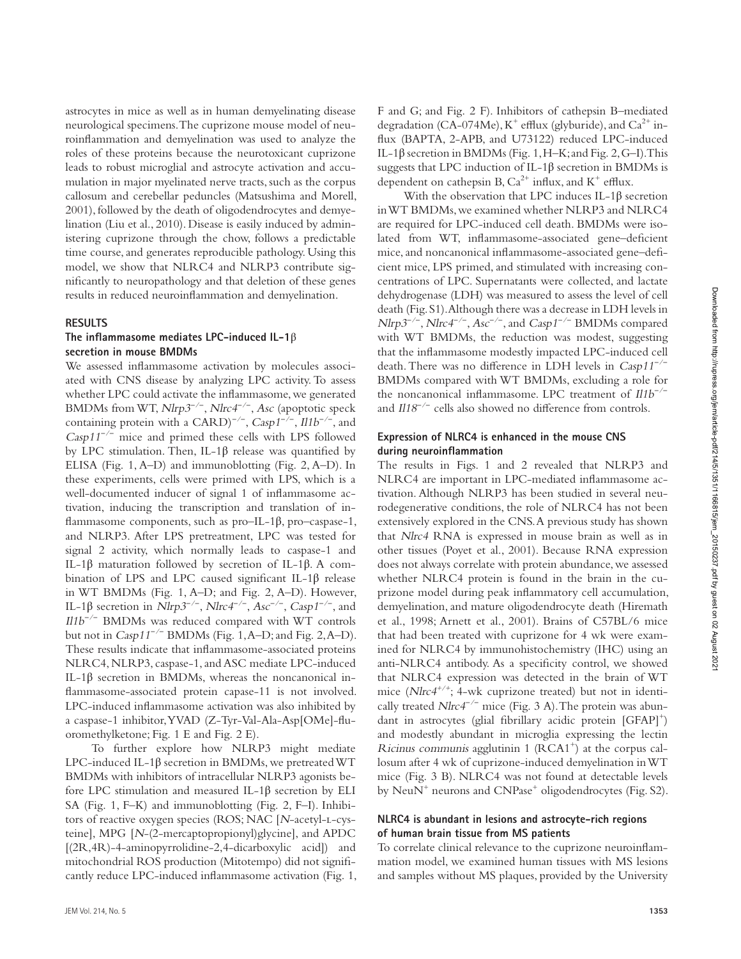astrocytes in mice as well as in human demyelinating disease neurological specimens. The cuprizone mouse model of neuroinflammation and demyelination was used to analyze the roles of these proteins because the neurotoxicant cuprizone leads to robust microglial and astrocyte activation and accumulation in major myelinated nerve tracts, such as the corpus callosum and cerebellar peduncles (Matsushima and Morell, 2001), followed by the death of oligodendrocytes and demyelination (Liu et al., 2010). Disease is easily induced by administering cuprizone through the chow, follows a predictable time course, and generates reproducible pathology. Using this model, we show that NLRC4 and NLRP3 contribute significantly to neuropathology and that deletion of these genes results in reduced neuroinflammation and demyelination.

#### **reSuLtS**

#### **the inflammasome mediates LPc-induced IL-1**β secretion in mouse **BMDMs**

We assessed inflammasome activation by molecules associated with CNS disease by analyzing LPC activity. To assess whether LPC could activate the inflammasome, we generated BMDMs from WT, *Nlrp3<sup>-/−</sup>*, *Nlrc4<sup>-/−</sup>*, *Asc* (apoptotic speck containing protein with a CARD)*<sup>−</sup>*/*<sup>−</sup>* , Casp1 *−*/*−* , Il1b *−*/*−* , and Casp11 *−*/*−* mice and primed these cells with LPS followed by LPC stimulation. Then, IL-1β release was quantified by ELISA (Fig.  $1, A-D$ ) and immunoblotting (Fig.  $2, A-D$ ). In these experiments, cells were primed with LPS, which is a well-documented inducer of signal 1 of inflammasome activation, inducing the transcription and translation of inflammasome components, such as pro–IL-1β, pro–caspase-1, and NLRP3. After LPS pretreatment, LPC was tested for signal 2 activity, which normally leads to caspase-1 and IL-1β maturation followed by secretion of IL-1β. A combination of LPS and LPC caused significant IL-1β release in WT BMDMs (Fig. 1, A–D; and Fig. 2, A–D). However, IL-1β secretion in Nlrp3 *−*/*−* , Nlrc4 *−*/*−* , Asc *−*/*−* , Casp1 *−*/*−* , and Il1b *−*/*−* BMDMs was reduced compared with WT controls but not in Casp11 *−*/*−* BMDMs (Fig. 1, A–D; and Fig. 2, A–D). These results indicate that inflammasome-associated proteins NLRC4, NLRP3, caspase-1, and ASC mediate LPC-induced IL-1β secretion in BMDMs, whereas the noncanonical inflammasome-associated protein capase-11 is not involved. LPC-induced inflammasome activation was also inhibited by a caspase-1 inhibitor, YVAD (Z-Tyr-Val-Ala-Asp[OMe]-fluoromethylketone; Fig. 1 E and Fig. 2 E).

To further explore how NLRP3 might mediate LPC-induced IL-1β secretion in BMDMs, we pretreated WT BMDMs with inhibitors of intracellular NLRP3 agonists before LPC stimulation and measured IL-1β secretion by ELI SA (Fig. 1, F–K) and immunoblotting (Fig. 2, F–I). Inhibitors of reactive oxygen species (ROS; NAC [N-acetyl-l-cysteine], MPG [N-(2-mercaptopropionyl)glycine], and APDC [(2R,4R)-4-aminopyrrolidine-2,4-dicarboxylic acid]) and mitochondrial ROS production (Mitotempo) did not significantly reduce LPC-induced inflammasome activation (Fig. 1, F and G; and Fig. 2 F). Inhibitors of cathepsin B–mediated degradation (CA-074Me), K<sup>+</sup> efflux (glyburide), and Ca<sup>2+</sup> influx (BAPTA, 2-APB, and U73122) reduced LPC-induced IL-1β secretion in BMDMs (Fig. 1, H–K; and Fig. 2, G–I). This suggests that LPC induction of IL-1 $\beta$  secretion in BMDMs is dependent on cathepsin B,  $Ca^{2+}$  influx, and  $K^+$  efflux.

With the observation that LPC induces IL-1β secretion in WT BMDMs, we examined whether NLRP3 and NLRC4 are required for LPC-induced cell death. BMDMs were isolated from WT, inflammasome-associated gene–deficient mice, and noncanonical inflammasome-associated gene–deficient mice, LPS primed, and stimulated with increasing concentrations of LPC. Supernatants were collected, and lactate dehydrogenase (LDH) was measured to assess the level of cell death (Fig. S1). Although there was a decrease in LDH levels in *Nlrp3<sup>-/-</sup>*, *Nlrc4<sup>-/-</sup>*, *Asc<sup>-/-</sup>*, and *Casp1<sup>-/-</sup>* BMDMs compared with WT BMDMs, the reduction was modest, suggesting that the inflammasome modestly impacted LPC-induced cell death. There was no difference in LDH levels in Casp11 *−*/*−* BMDMs compared with WT BMDMs, excluding a role for the noncanonical inflammasome. LPC treatment of Il1b *−*/*−* and *Il18<sup>-/-</sup>* cells also showed no difference from controls.

#### **Expression of NLRC4 is enhanced in the mouse CNS during neuroinflammation**

The results in Figs. 1 and 2 revealed that NLRP3 and NLRC4 are important in LPC-mediated inflammasome activation. Although NLRP3 has been studied in several neurodegenerative conditions, the role of NLRC4 has not been extensively explored in the CNS. A previous study has shown that Nlrc4 RNA is expressed in mouse brain as well as in other tissues (Poyet et al., 2001). Because RNA expression does not always correlate with protein abundance, we assessed whether NLRC4 protein is found in the brain in the cuprizone model during peak inflammatory cell accumulation, demyelination, and mature oligodendrocyte death (Hiremath et al., 1998; Arnett et al., 2001). Brains of C57BL/6 mice that had been treated with cuprizone for 4 wk were examined for NLRC4 by immunohistochemistry (IHC) using an anti-NLRC4 antibody. As a specificity control, we showed that NLRC4 expression was detected in the brain of WT mice ( $NIrc4^{+/+}$ ; 4-wk cuprizone treated) but not in identically treated *Nlrc4<sup>-/−</sup>* mice (Fig. 3 A). The protein was abundant in astrocytes (glial fibrillary acidic protein [GFAP]<sup>+</sup>) and modestly abundant in microglia expressing the lectin Ricinus communis agglutinin 1 (RCA1<sup>+</sup>) at the corpus callosum after 4 wk of cuprizone-induced demyelination in WT mice (Fig. 3 B). NLRC4 was not found at detectable levels by NeuN<sup>+</sup> neurons and CNPase<sup>+</sup> oligodendrocytes (Fig. S2).

#### **nLrc4 is abundant in lesions and astrocyte-rich regions of human brain tissue from MS patients**

To correlate clinical relevance to the cuprizone neuroinflammation model, we examined human tissues with MS lesions and samples without MS plaques, provided by the University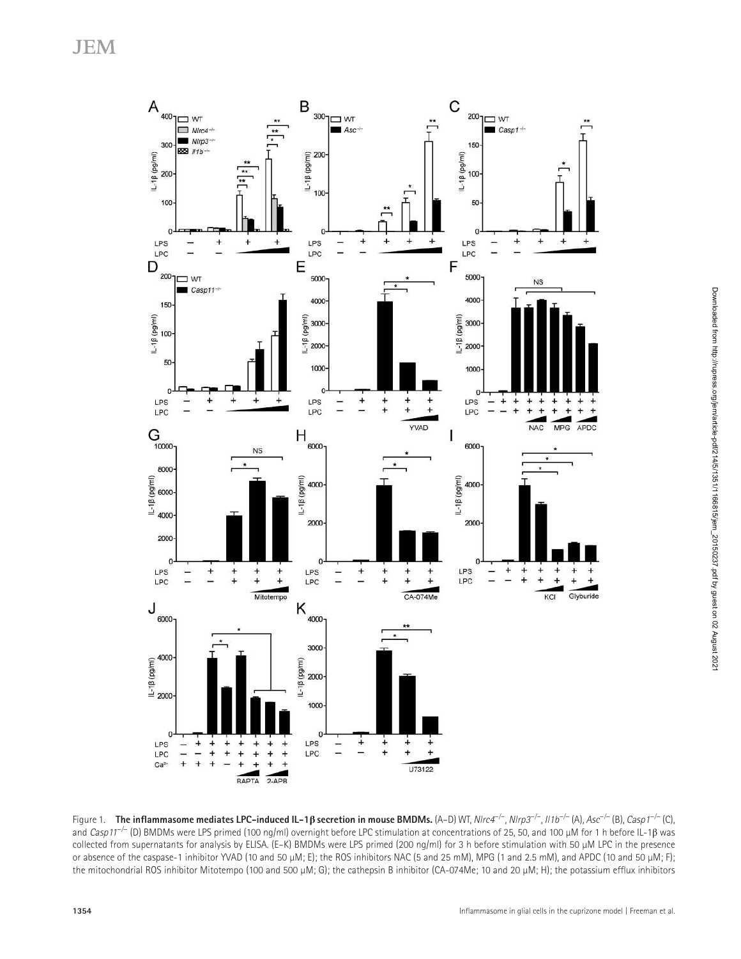

Figure 1. **The inflammasome mediates LPC–induced IL–1β secretion in mouse BMDMs.** (A–D) WT, *NIrc4<sup>–/–</sup>, NIrp3<sup>–/–</sup>, II1b<sup>–/–</sup> (A), Asc<sup>–/–</sup> (B), <i>Casp1<sup>–/–</sup>* (C), and Casp11 *−*/− (D) BMDMs were LPS primed (100 ng/ml) overnight before LPC stimulation at concentrations of 25, 50, and 100 µM for 1 h before IL-1β was collected from supernatants for analysis by ELISA. (E–K) BMDMs were LPS primed (200 ng/ml) for 3 h before stimulation with 50 µM LPC in the presence or absence of the caspase-1 inhibitor YVAD (10 and 50 µM; E); the ROS inhibitors NAC (5 and 25 mM), MPG (1 and 2.5 mM), and APDC (10 and 50 µM; F); the mitochondrial ROS inhibitor Mitotempo (100 and 500 µM; G); the cathepsin B inhibitor (CA-074Me; 10 and 20 µM; H); the potassium efflux inhibitors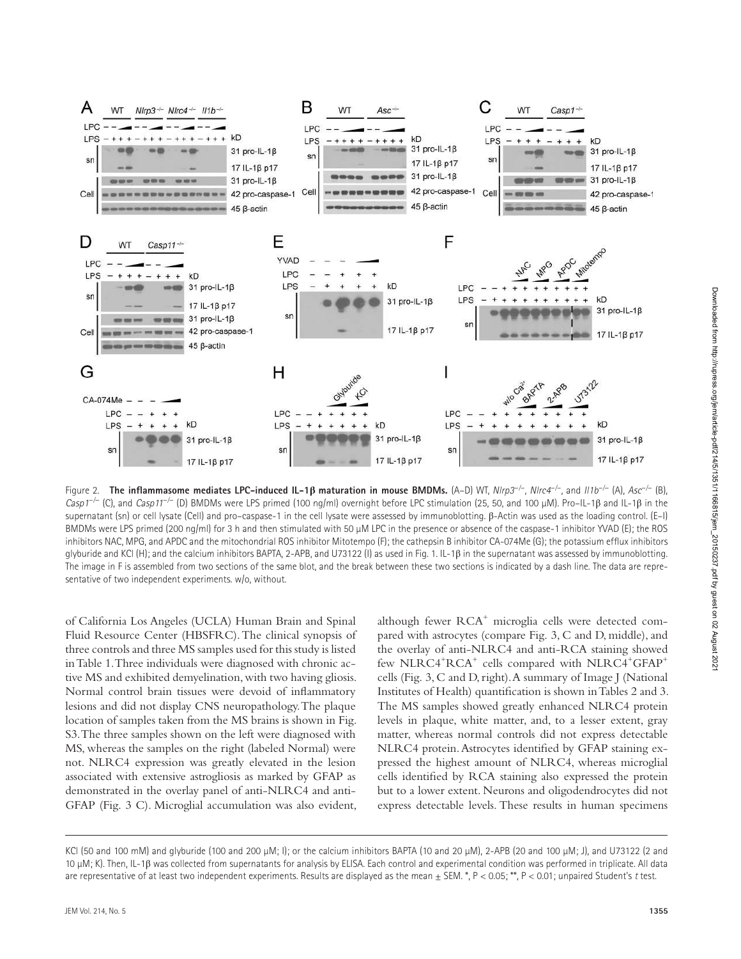

Figure 2. **the inflammasome mediates LPc-induced IL-1β maturation in mouse BMdMs.** (A–D) WT, Nlrp3 *−*/*−* , Nlrc4 *−*/*−* , and Il1b *−*/− (A), Asc *−*/− (B), Casp1 *−*/− (C), and Casp11 *−*/− (D) BMDMs were LPS primed (100 ng/ml) overnight before LPC stimulation (25, 50, and 100 µM). Pro–IL-1β and IL-1β in the supernatant (sn) or cell lysate (Cell) and pro–caspase-1 in the cell lysate were assessed by immunoblotting. β-Actin was used as the loading control. (E–I) BMDMs were LPS primed (200 ng/ml) for 3 h and then stimulated with 50 µM LPC in the presence or absence of the caspase-1 inhibitor YVAD (E); the ROS inhibitors NAC, MPG, and APDC and the mitochondrial ROS inhibitor Mitotempo (F); the cathepsin B inhibitor CA-074Me (G); the potassium efflux inhibitors glyburide and KCl (H); and the calcium inhibitors BAPTA, 2-APB, and U73122 (I) as used in Fig. 1. IL-1β in the supernatant was assessed by immunoblotting. The image in F is assembled from two sections of the same blot, and the break between these two sections is indicated by a dash line. The data are representative of two independent experiments. w/o, without.

of California Los Angeles (UCLA) Human Brain and Spinal Fluid Resource Center (HBSFRC). The clinical synopsis of three controls and three MS samples used for this study is listed in Table 1. Three individuals were diagnosed with chronic active MS and exhibited demyelination, with two having gliosis. Normal control brain tissues were devoid of inflammatory lesions and did not display CNS neuropathology. The plaque location of samples taken from the MS brains is shown in Fig. S3. The three samples shown on the left were diagnosed with MS, whereas the samples on the right (labeled Normal) were not. NLRC4 expression was greatly elevated in the lesion associated with extensive astrogliosis as marked by GFAP as demonstrated in the overlay panel of anti-NLRC4 and anti-GFAP (Fig. 3 C). Microglial accumulation was also evident,

although fewer RCA<sup>+</sup> microglia cells were detected compared with astrocytes (compare Fig. 3, C and D, middle), and the overlay of anti-NLRC4 and anti-RCA staining showed few NLRC4<sup>+</sup>RCA<sup>+</sup> cells compared with NLRC4<sup>+</sup>GFAP<sup>+</sup> cells (Fig. 3, C and D, right). A summary of Image J (National Institutes of Health) quantification is shown in Tables 2 and 3. The MS samples showed greatly enhanced NLRC4 protein levels in plaque, white matter, and, to a lesser extent, gray matter, whereas normal controls did not express detectable NLRC4 protein. Astrocytes identified by GFAP staining expressed the highest amount of NLRC4, whereas microglial cells identified by RCA staining also expressed the protein but to a lower extent. Neurons and oligodendrocytes did not express detectable levels. These results in human specimens Downloaded from http://rupress.org/jem/article-pdf/214/5/1351/1166815/jem\_20150237.pdf by guest on 02 August 2021

Downloaded from http://rupress.org/jem/article-pdf/214/5/1351/1166815/jem\_20150237.pdf by guest on 02 August 202

KCl (50 and 100 mM) and glyburide (100 and 200 µM; I); or the calcium inhibitors BAPTA (10 and 20 µM), 2-APB (20 and 100 µM; J), and U73122 (2 and 10 μM; K). Then, IL-1β was collected from supernatants for analysis by ELISA. Each control and experimental condition was performed in triplicate. All data are representative of at least two independent experiments. Results are displayed as the mean  $\pm$  SEM. \*, P < 0.05; \*\*, P < 0.01; unpaired Student's t test.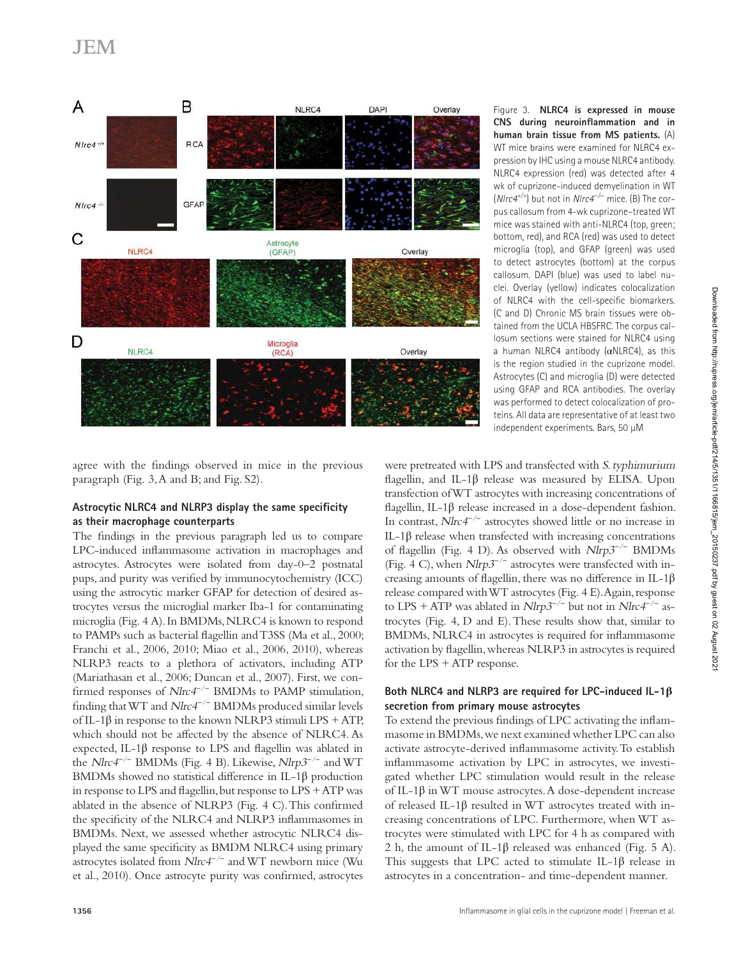

Figure 3. **nLrc4 is expressed in mouse cnS during neuroinflammation and in human brain tissue from MS patients.** (A) WT mice brains were examined for NLRC4 expression by IHC using a mouse NLRC4 antibody. NLRC4 expression (red) was detected after 4 wk of cuprizone-induced demyelination in WT (*N|rc4<sup>+/+</sup>)* but not in *N|rc4<sup>−/−</sup> mice.* (B) The corpus callosum from 4-wk cuprizone–treated WT mice was stained with anti-NLRC4 (top, green; bottom, red), and RCA (red) was used to detect microglia (top), and GFAP (green) was used to detect astrocytes (bottom) at the corpus callosum. DAPI (blue) was used to label nuclei. Overlay (yellow) indicates colocalization of NLRC4 with the cell-specific biomarkers. (C and D) Chronic MS brain tissues were obtained from the UCLA HBSFRC. The corpus callosum sections were stained for NLRC4 using a human NLRC4 antibody (αNLRC4), as this is the region studied in the cuprizone model. Astrocytes (C) and microglia (D) were detected using GFAP and RCA antibodies. The overlay was performed to detect colocalization of proteins. All data are representative of at least two independent experiments. Bars, 50 µM

agree with the findings observed in mice in the previous paragraph (Fig. 3, A and B; and Fig. S2).

### Astrocytic NLRC4 and NLRP3 display the same specificity **as their macrophage counterparts**

The findings in the previous paragraph led us to compare LPC-induced inflammasome activation in macrophages and astrocytes. Astrocytes were isolated from day-0–2 postnatal pups, and purity was verified by immunocytochemistry (ICC) using the astrocytic marker GFAP for detection of desired astrocytes versus the microglial marker Iba-1 for contaminating microglia (Fig. 4 A). In BMDMs, NLRC4 is known to respond to PAMPs such as bacterial flagellin and T3SS (Ma et al., 2000; Franchi et al., 2006, 2010; Miao et al., 2006, 2010), whereas NLRP3 reacts to a plethora of activators, including ATP (Mariathasan et al., 2006; Duncan et al., 2007). First, we confirmed responses of *Nlrc4<sup>-/−</sup>* BMDMs to PAMP stimulation, finding that WT and Nlrc4 *−*/*−* BMDMs produced similar levels of IL-1β in response to the known NLRP3 stimuli LPS + ATP, which should not be affected by the absence of NLRC4. As expected, IL-1β response to LPS and flagellin was ablated in the *Nlrc4<sup>-/−</sup>* BMDMs (Fig. 4 B). Likewise, *Nlrp3<sup>-/−</sup>* and WT BMDMs showed no statistical difference in IL-1β production in response to LPS and flagellin, but response to LPS + ATP was ablated in the absence of NLRP3 (Fig. 4 C). This confirmed the specificity of the NLRC4 and NLRP3 inflammasomes in BMDMs. Next, we assessed whether astrocytic NLRC4 displayed the same specificity as BMDM NLRC4 using primary astrocytes isolated from *Nlrc4<sup>-/−</sup>* and WT newborn mice (Wu et al., 2010). Once astrocyte purity was confirmed, astrocytes

were pretreated with LPS and transfected with S. typhimurium flagellin, and IL-1 $\beta$  release was measured by ELISA. Upon transfection of WT astrocytes with increasing concentrations of flagellin, IL-1β release increased in a dose-dependent fashion. In contrast, Nlrc4 *−*/*−* astrocytes showed little or no increase in IL-1β release when transfected with increasing concentrations of flagellin (Fig. 4 D). As observed with Nlrp3 *−*/*−* BMDMs (Fig. 4 C), when Nlrp3 *−*/*−* astrocytes were transfected with increasing amounts of flagellin, there was no difference in IL-1β release compared with WT astrocytes (Fig. 4 E). Again, response to LPS + ATP was ablated in *Nlrp3<sup>-/−</sup>* but not in *Nlrc4<sup>-/−</sup>* astrocytes (Fig. 4, D and E). These results show that, similar to BMDMs, NLRC4 in astrocytes is required for inflammasome activation by flagellin, whereas NLRP3 in astrocytes is required for the LPS + ATP response.

#### **Both nLrc4 and nLrP3 are required for LPc-induced IL-1β secretion from primary mouse astrocytes**

To extend the previous findings of LPC activating the inflammasome in BMDMs, we next examined whether LPC can also activate astrocyte-derived inflammasome activity. To establish inflammasome activation by LPC in astrocytes, we investigated whether LPC stimulation would result in the release of IL-1β in WT mouse astrocytes. A dose-dependent increase of released IL-1β resulted in WT astrocytes treated with increasing concentrations of LPC. Furthermore, when WT astrocytes were stimulated with LPC for 4 h as compared with 2 h, the amount of IL-1 $\beta$  released was enhanced (Fig. 5 A). This suggests that LPC acted to stimulate IL-1β release in astrocytes in a concentration- and time-dependent manner.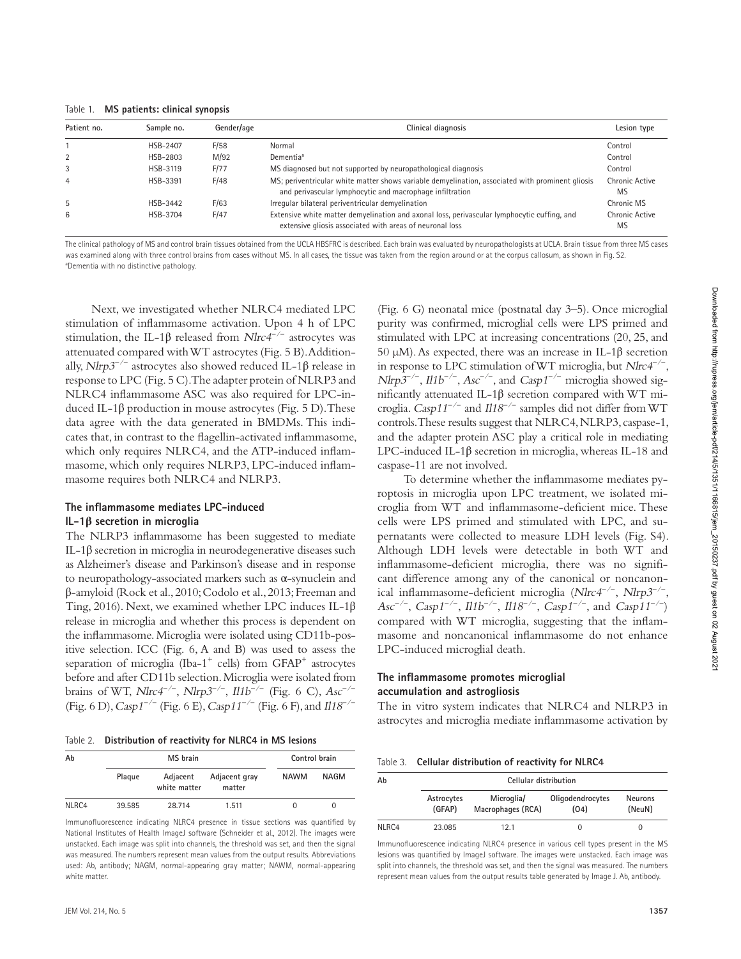Table 1. **MS patients: clinical synopsis**

| Patient no.    | Sample no. | Gender/age | Clinical diagnosis                                                                                                                                           | Lesion type          |
|----------------|------------|------------|--------------------------------------------------------------------------------------------------------------------------------------------------------------|----------------------|
|                | HSB-2407   | F/58       | Normal                                                                                                                                                       | Control              |
|                | HSB-2803   | M/92       | Dementia <sup>a</sup>                                                                                                                                        | Control              |
| 3              | HSB-3119   | F/77       | MS diagnosed but not supported by neuropathological diagnosis                                                                                                | Control              |
| $\overline{4}$ | HSB-3391   | F/48       | MS; periventricular white matter shows variable demyelination, associated with prominent gliosis<br>and perivascular lymphocytic and macrophage infiltration | Chronic Active<br>MS |
| 5              | HSB-3442   | F/63       | Irregular bilateral periventricular demyelination                                                                                                            | Chronic MS           |
| 6              | HSB-3704   | F/47       | Extensive white matter demyelination and axonal loss, perivascular lymphocytic cuffing, and<br>extensive gliosis associated with areas of neuronal loss      | Chronic Active<br>MS |

The clinical pathology of MS and control brain tissues obtained from the UCLA HBSFRC is described. Each brain was evaluated by neuropathologists at UCLA. Brain tissue from three MS cases was examined along with three control brains from cases without MS. In all cases, the tissue was taken from the region around or at the corpus callosum, as shown in Fig. S2. <sup>a</sup>Dementia with no distinctive pathology.

Next, we investigated whether NLRC4 mediated LPC stimulation of inflammasome activation. Upon 4 h of LPC stimulation, the IL-1β released from Nlrc4 *−*/*−* astrocytes was attenuated compared with WT astrocytes (Fig. 5 B). Additionally, *Nlrp3<sup>-/−</sup>* astrocytes also showed reduced IL-1β release in response to LPC (Fig. 5 C). The adapter protein of NLRP3 and NLRC4 inflammasome ASC was also required for LPC-induced IL-1β production in mouse astrocytes (Fig. 5 D). These data agree with the data generated in BMDMs. This indicates that, in contrast to the flagellin-activated inflammasome, which only requires NLRC4, and the ATP-induced inflammasome, which only requires NLRP3, LPC-induced inflammasome requires both NLRC4 and NLRP3.

#### **the inflammasome mediates LPc-induced IL-1β secretion in microglia**

The NLRP3 inflammasome has been suggested to mediate IL-1β secretion in microglia in neurodegenerative diseases such as Alzheimer's disease and Parkinson's disease and in response to neuropathology-associated markers such as α-synuclein and β-amyloid (Rock et al., 2010; Codolo et al., 2013; Freeman and Ting, 2016). Next, we examined whether LPC induces IL-1β release in microglia and whether this process is dependent on the inflammasome. Microglia were isolated using CD11b-positive selection. ICC (Fig. 6, A and B) was used to assess the separation of microglia (Iba-1<sup>+</sup> cells) from GFAP<sup>+</sup> astrocytes before and after CD11b selection. Microglia were isolated from brains of WT, *Nlrc4<sup>−/−</sup>*, *Nlrp3<sup>−/−</sup>*, *Il1b<sup>−/−</sup>* (Fig. 6 C), *Asc<sup>−/−</sup>* (Fig. 6 D), Casp1 *−*/*−* (Fig. 6 E), Casp11 *−*/*−* (Fig. 6 F), and Il18 *−*/*−*

Table 2. Distribution of reactivity for NLRC4 in MS lesions

| Ab    | MS brain |                          |                         | Control brain |          |
|-------|----------|--------------------------|-------------------------|---------------|----------|
|       | Plaque   | Adjacent<br>white matter | Adjacent gray<br>matter | <b>NAWM</b>   | NAGM     |
| NLRC4 | 39.585   | 28.714                   | 1.511                   |               | $\Omega$ |

Immunofluorescence indicating NLRC4 presence in tissue sections was quantified by National Institutes of Health ImageJ software (Schneider et al., 2012). The images were unstacked. Each image was split into channels, the threshold was set, and then the signal was measured. The numbers represent mean values from the output results. Abbreviations used: Ab, antibody; NAGM, normal-appearing gray matter; NAWM, normal-appearing white matter.

(Fig. 6 G) neonatal mice (postnatal day 3–5). Once microglial purity was confirmed, microglial cells were LPS primed and stimulated with LPC at increasing concentrations (20, 25, and 50 µM). As expected, there was an increase in IL-1β secretion in response to LPC stimulation of WT microglia, but Nlrc4 *−*/*−* , *Nlrp3<sup>-/-</sup>*, *Il1b<sup>-/-</sup>*, *Asc<sup>-/-</sup>*, and *Casp1<sup>-/-</sup>* microglia showed significantly attenuated IL-1β secretion compared with WT microglia. Casp11 *−*/*−* and Il18 *−*/*−* samples did not differ from WT controls. These results suggest that NLRC4, NLRP3, caspase-1, and the adapter protein ASC play a critical role in mediating LPC-induced IL-1β secretion in microglia, whereas IL-18 and caspase-11 are not involved.

To determine whether the inflammasome mediates pyroptosis in microglia upon LPC treatment, we isolated microglia from WT and inflammasome-deficient mice. These cells were LPS primed and stimulated with LPC, and supernatants were collected to measure LDH levels (Fig. S4). Although LDH levels were detectable in both WT and inflammasome-deficient microglia, there was no significant difference among any of the canonical or noncanonical inflammasome-deficient microglia (Nlrc4 *−*/*−* , Nlrp3 *−*/*−* , *Asc<sup>-/−</sup>*, *Casp1<sup>-/−</sup>*, *Il1b<sup>-/−</sup>*, *Il18<sup>-/−</sup>*, *Casp1*<sup>-/−</sup>, and *Casp11<sup>-/−</sup>* ) compared with WT microglia, suggesting that the inflammasome and noncanonical inflammasome do not enhance LPC-induced microglial death.

#### **the inflammasome promotes microglial accumulation and astrogliosis**

The in vitro system indicates that NLRC4 and NLRP3 in astrocytes and microglia mediate inflammasome activation by

Table 3. **cellular distribution of reactivity for nLrc4** 

| Ab    | Cellular distribution |                                 |                          |                          |  |  |  |
|-------|-----------------------|---------------------------------|--------------------------|--------------------------|--|--|--|
|       | Astrocytes<br>(GFAP)  | Microglia/<br>Macrophages (RCA) | Oligodendrocytes<br>(04) | <b>Neurons</b><br>(NeuN) |  |  |  |
| NLRC4 | 23.085                | 12.1                            | $\Omega$                 | O                        |  |  |  |

Immunofluorescence indicating NLRC4 presence in various cell types present in the MS lesions was quantified by ImageJ software. The images were unstacked. Each image was split into channels, the threshold was set, and then the signal was measured. The numbers represent mean values from the output results table generated by Image J. Ab, antibody.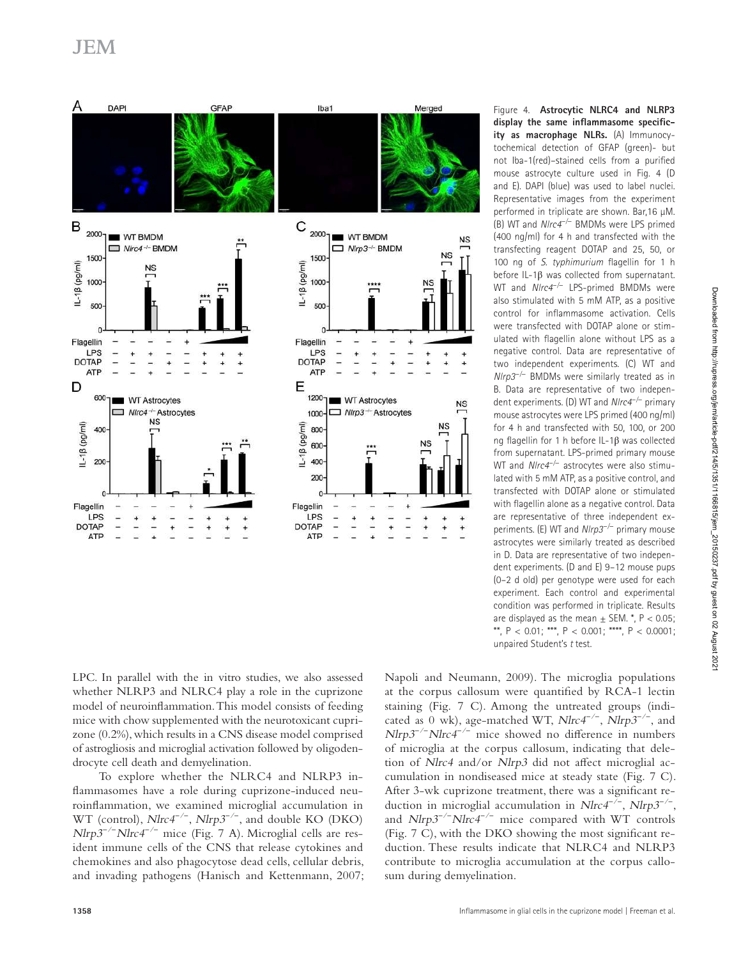

Figure 4. **Astrocytic NLRC4 and NLRP3 display the same inflammasome specific**ity as macrophage NLRs. (A) Immunocytochemical detection of GFAP (green)- but not Iba-1(red)–stained cells from a purified mouse astrocyte culture used in Fig. 4 (D and E). DAPI (blue) was used to label nuclei. Representative images from the experiment performed in triplicate are shown. Bar,16 µM. (B) WT and *NIrc4<sup>-/−</sup>* BMDMs were LPS primed (400 ng/ml) for 4 h and transfected with the transfecting reagent DOTAP and 25, 50, or 100 ng of S. typhimurium flagellin for 1 h before IL-1β was collected from supernatant. WT and *Nlrc4<sup>-/−</sup>* LPS-primed BMDMs were also stimulated with 5 mM ATP, as a positive control for inflammasome activation. Cells were transfected with DOTAP alone or stimulated with flagellin alone without LPS as a negative control. Data are representative of two independent experiments. (C) WT and Nlrp3 *−*/− BMDMs were similarly treated as in B. Data are representative of two independent experiments. (D) WT and Nlrc4 *−*/− primary mouse astrocytes were LPS primed (400 ng/ml) for 4 h and transfected with 50, 100, or 200 ng flagellin for 1 h before IL-1β was collected from supernatant. LPS-primed primary mouse WT and Nlrc4 *−*/− astrocytes were also stimulated with 5 mM ATP, as a positive control, and transfected with DOTAP alone or stimulated with flagellin alone as a negative control. Data are representative of three independent experiments. (E) WT and *NIrp3<sup>-/−</sup>* primary mouse astrocytes were similarly treated as described in D. Data are representative of two independent experiments. (D and E) 9–12 mouse pups (0–2 d old) per genotype were used for each experiment. Each control and experimental condition was performed in triplicate. Results are displayed as the mean  $\pm$  SEM.  $^*$ , P < 0.05; \*\*,  $P < 0.01$ ; \*\*\*,  $P < 0.001$ ; \*\*\*\*,  $P < 0.0001$ ; unpaired Student's t test.

LPC. In parallel with the in vitro studies, we also assessed whether NLRP3 and NLRC4 play a role in the cuprizone model of neuroinflammation. This model consists of feeding mice with chow supplemented with the neurotoxicant cuprizone (0.2%), which results in a CNS disease model comprised of astrogliosis and microglial activation followed by oligodendrocyte cell death and demyelination.

To explore whether the NLRC4 and NLRP3 inflammasomes have a role during cuprizone-induced neuroinflammation, we examined microglial accumulation in WT (control), Nlrc4 *−*/*−* , Nlrp3 *−*/*−* , and double KO (DKO) *Nlrp3<sup>-/−</sup>Nlrc4<sup>-/−</sup>* mice (Fig. 7 A). Microglial cells are resident immune cells of the CNS that release cytokines and chemokines and also phagocytose dead cells, cellular debris, and invading pathogens (Hanisch and Kettenmann, 2007;

Napoli and Neumann, 2009). The microglia populations at the corpus callosum were quantified by RCA-1 lectin staining (Fig. 7 C). Among the untreated groups (indicated as 0 wk), age-matched WT, Nlrc4 *−*/*−* , Nlrp3 *−*/*−* , and *Nlrp3<sup>-/-</sup>Nlrc4<sup>-/-</sup>* mice showed no difference in numbers of microglia at the corpus callosum, indicating that deletion of Nlrc4 and/or Nlrp3 did not affect microglial accumulation in nondiseased mice at steady state (Fig. 7 C). After 3-wk cuprizone treatment, there was a significant reduction in microglial accumulation in *Nlrc4<sup>-/−</sup>*, *Nlrp3<sup>-/−</sup>* , and *Nlrp3<sup>-/−</sup>Nlrc4<sup>-/−</sup>* mice compared with WT controls (Fig. 7 C), with the DKO showing the most significant reduction. These results indicate that NLRC4 and NLRP3 contribute to microglia accumulation at the corpus callosum during demyelination.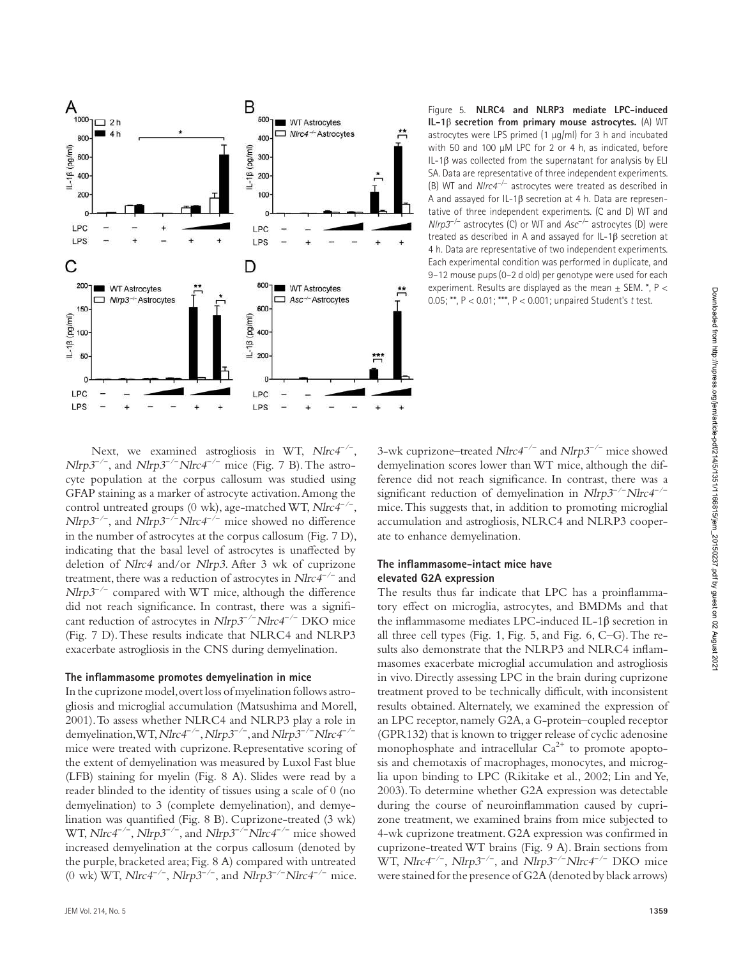

Figure 5. **nLrc4 and nLrP3 mediate LPc-induced IL-1**β **secretion from primary mouse astrocytes.** (A) WT astrocytes were LPS primed  $(1 \mu q/ml)$  for 3 h and incubated with 50 and 100 µM LPC for 2 or 4 h, as indicated, before IL-1β was collected from the supernatant for analysis by ELI SA. Data are representative of three independent experiments. (B) WT and Nlrc4 *−*/− astrocytes were treated as described in A and assayed for IL-1β secretion at 4 h. Data are representative of three independent experiments. (C and D) WT and Nlrp3 *−*/− astrocytes (C) or WT and Asc *−*/− astrocytes (D) were treated as described in A and assayed for IL-1β secretion at 4 h. Data are representative of two independent experiments. Each experimental condition was performed in duplicate, and 9–12 mouse pups (0–2 d old) per genotype were used for each experiment. Results are displayed as the mean  $\pm$  SEM.  $^*$ , P < 0.05; \*\*, P < 0.01; \*\*\*, P < 0.001; unpaired Student's t test.

Next, we examined astrogliosis in WT, Nlrc4<sup>-/−</sup>, *Nlrp3<sup>-/-</sup>*, and *Nlrp3<sup>-/−</sup>Nlrc4<sup>-/−</sup> mice (Fig. 7 B)*. The astrocyte population at the corpus callosum was studied using GFAP staining as a marker of astrocyte activation. Among the control untreated groups (0 wk), age-matched WT, Nlrc4 *−*/*−* , *Nlrp3<sup>-/-</sup>*, and *Nlrp3<sup>-/-</sup>Nlrc4<sup>-/-</sup>* mice showed no difference in the number of astrocytes at the corpus callosum (Fig. 7 D), indicating that the basal level of astrocytes is unaffected by deletion of Nlrc4 and/or Nlrp3. After 3 wk of cuprizone treatment, there was a reduction of astrocytes in Nlrc4 *−*/*−* and Nlrp3<sup>-/-</sup> compared with WT mice, although the difference did not reach significance. In contrast, there was a significant reduction of astrocytes in *Nlrp3<sup>-/−</sup>Nlrc4<sup>-/−</sup> DKO* mice (Fig. 7 D). These results indicate that NLRC4 and NLRP3 exacerbate astrogliosis in the CNS during demyelination.

#### **the inflammasome promotes demyelination in mice**

In the cuprizone model, overt loss of myelination follows astrogliosis and microglial accumulation (Matsushima and Morell, 2001). To assess whether NLRC4 and NLRP3 play a role in demyelination, WT, *Nlrc4<sup>−/−</sup>*, *Nlrp3<sup>−/−</sup>*, and *Nlrp3<sup>−/−</sup>Nlrc4<sup>−/−</sup>* mice were treated with cuprizone. Representative scoring of the extent of demyelination was measured by Luxol Fast blue (LFB) staining for myelin (Fig. 8 A). Slides were read by a reader blinded to the identity of tissues using a scale of 0 (no demyelination) to 3 (complete demyelination), and demyelination was quantified (Fig. 8 B). Cuprizone-treated (3 wk) WT, Nlrc4 *−*/*−* , Nlrp3 *−*/*−* , and Nlrp3 *−*/*−*Nlrc4 *−*/*−* mice showed increased demyelination at the corpus callosum (denoted by the purple, bracketed area; Fig. 8 A) compared with untreated (0 wk) WT, *Nlrc4<sup>-/-</sup>*, *Nlrp3<sup>-/-</sup>*, and *Nlrp3<sup>-/-</sup>Nlrc4<sup>-/-</sup> mice.* 

3-wk cuprizone–treated Nlrc4 *−*/*−* and Nlrp3 *−*/*−* mice showed demyelination scores lower than WT mice, although the difference did not reach significance. In contrast, there was a significant reduction of demyelination in *Nlrp3<sup>−/−</sup>Nlrc4<sup>−/−</sup>* mice. This suggests that, in addition to promoting microglial accumulation and astrogliosis, NLRC4 and NLRP3 cooperate to enhance demyelination.

#### **the inflammasome-intact mice have elevated G2A expression**

The results thus far indicate that LPC has a proinflammatory effect on microglia, astrocytes, and BMDMs and that the inflammasome mediates LPC-induced IL-1β secretion in all three cell types (Fig. 1, Fig. 5, and Fig. 6, C–G). The results also demonstrate that the NLRP3 and NLRC4 inflammasomes exacerbate microglial accumulation and astrogliosis in vivo. Directly assessing LPC in the brain during cuprizone treatment proved to be technically difficult, with inconsistent results obtained. Alternately, we examined the expression of an LPC receptor, namely G2A, a G-protein–coupled receptor (GPR132) that is known to trigger release of cyclic adenosine monophosphate and intracellular  $Ca^{2+}$  to promote apoptosis and chemotaxis of macrophages, monocytes, and microglia upon binding to LPC (Rikitake et al., 2002; Lin and Ye, 2003). To determine whether G2A expression was detectable during the course of neuroinflammation caused by cuprizone treatment, we examined brains from mice subjected to 4-wk cuprizone treatment. G2A expression was confirmed in cuprizone-treated WT brains (Fig. 9 A). Brain sections from *WT*, *Nlrc4<sup>-/−</sup>*, *Nlrp3<sup>-/−</sup>*, and *Nlrp3<sup>-/−</sup>Nlrc4<sup>-/−</sup> DKO mice* were stained for the presence of G2A (denoted by black arrows)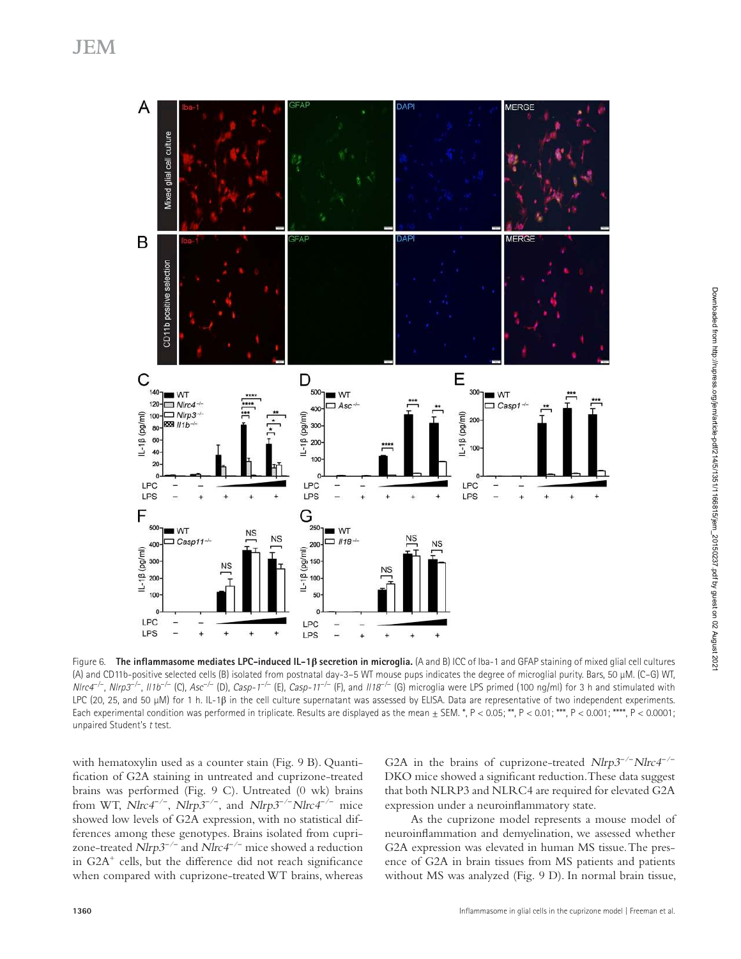

Figure 6. **the inflammasome mediates LPc-induced IL-1β secretion in microglia.** (A and B) ICC of Iba-1 and GFAP staining of mixed glial cell cultures (A) and CD11b-positive selected cells (B) isolated from postnatal day-3–5 WT mouse pups indicates the degree of microglial purity. Bars, 50 µM. (C–G) WT, NIrc4<sup>-/-</sup>, NIrp3<sup>-/-</sup>, II1b<sup>-/-</sup> (C), Asc<sup>-/-</sup> (D), *Casp-1<sup>-/-</sup> (E), Casp-11<sup>-/-</sup> (F), and II18<sup>-/-</sup> (G) microglia were LPS primed (100 ng/ml) for 3 h and stimulated with* LPC (20, 25, and 50 μM) for 1 h. IL-1β in the cell culture supernatant was assessed by ELISA. Data are representative of two independent experiments. Each experimental condition was performed in triplicate. Results are displayed as the mean  $\pm$  SEM. \*, P < 0.05; \*\*, P < 0.01; \*\*\*, P < 0.001; \*\*\*\*, P < 0.0001; unpaired Student's t test.

with hematoxylin used as a counter stain (Fig. 9 B). Quantification of G2A staining in untreated and cuprizone-treated brains was performed (Fig. 9 C). Untreated (0 wk) brains from WT, *Nlrc4<sup>-/−</sup>*, *Nlrp3<sup>-/−</sup>*, and *Nlrp3<sup>-/−</sup>Nlrc4<sup>-/−</sup> mice* showed low levels of G2A expression, with no statistical differences among these genotypes. Brains isolated from cuprizone-treated *Nlrp3<sup>-/−</sup>* and *Nlrc4<sup>-/−</sup>* mice showed a reduction in G2A<sup>+</sup> cells, but the difference did not reach significance when compared with cuprizone-treated WT brains, whereas

G2A in the brains of cuprizone-treated  $N l r p 3^{-/-} N l r c 4^{-/-}$ DKO mice showed a significant reduction. These data suggest that both NLRP3 and NLRC4 are required for elevated G2A expression under a neuroinflammatory state.

As the cuprizone model represents a mouse model of neuroinflammation and demyelination, we assessed whether G2A expression was elevated in human MS tissue. The presence of G2A in brain tissues from MS patients and patients without MS was analyzed (Fig. 9 D). In normal brain tissue,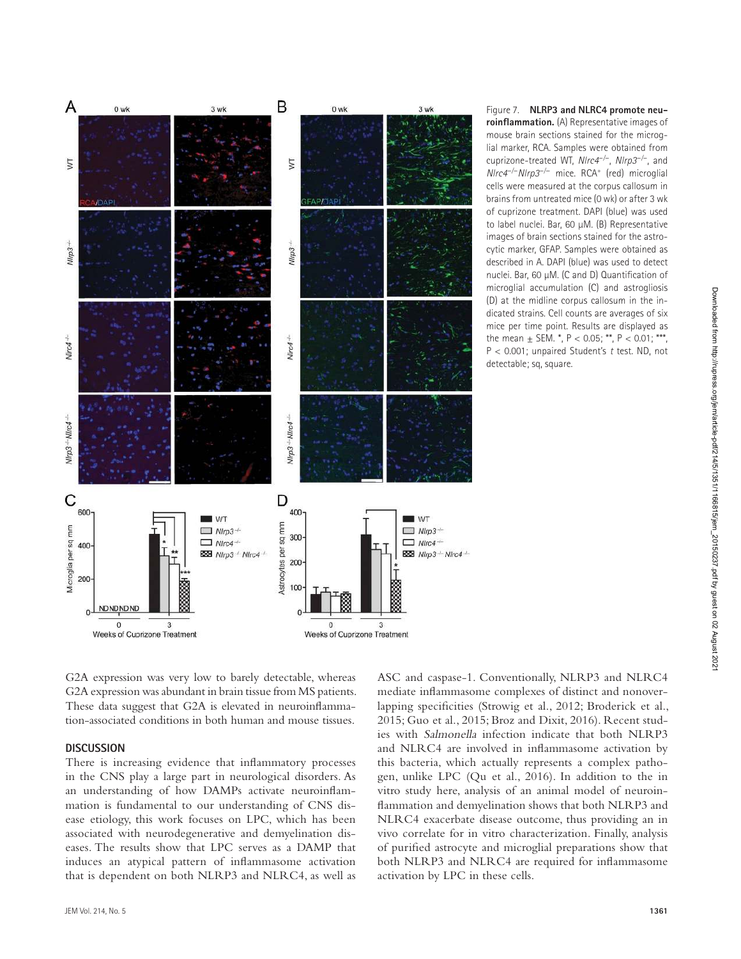

lial marker, RCA. Samples were obtained from cuprizone-treated WT, Nlrc4 *−*/*−* , Nlrp3 *−*/*−* , and Nlrc4 *<sup>−</sup>*/*<sup>−</sup>*Nlrp3 *<sup>−</sup>*/<sup>−</sup> mice. RCA<sup>+</sup> (red) microglial cells were measured at the corpus callosum in brains from untreated mice (0 wk) or after 3 wk of cuprizone treatment. DAPI (blue) was used to label nuclei. Bar, 60 µM. (B) Representative images of brain sections stained for the astrocytic marker, GFAP. Samples were obtained as described in A. DAPI (blue) was used to detect nuclei. Bar, 60 µM. (C and D) Quantification of microglial accumulation (C) and astrogliosis (D) at the midline corpus callosum in the indicated strains. Cell counts are averages of six mice per time point. Results are displayed as the mean  $\pm$  SEM.  $^*$ , P < 0.05;  $^{**}$ , P < 0.01; \*\*\*,  $P < 0.001$ ; unpaired Student's t test. ND, not detectable; sq, square.

G2A expression was very low to barely detectable, whereas G2A expression was abundant in brain tissue from MS patients. These data suggest that G2A is elevated in neuroinflammation-associated conditions in both human and mouse tissues.

#### **dIScuSSIon**

There is increasing evidence that inflammatory processes in the CNS play a large part in neurological disorders. As an understanding of how DAMPs activate neuroinflammation is fundamental to our understanding of CNS disease etiology, this work focuses on LPC, which has been associated with neurodegenerative and demyelination diseases. The results show that LPC serves as a DAMP that induces an atypical pattern of inflammasome activation that is dependent on both NLRP3 and NLRC4, as well as

ASC and caspase-1. Conventionally, NLRP3 and NLRC4 mediate inflammasome complexes of distinct and nonoverlapping specificities (Strowig et al., 2012; Broderick et al., 2015; Guo et al., 2015; Broz and Dixit, 2016). Recent studies with Salmonella infection indicate that both NLRP3 and NLRC4 are involved in inflammasome activation by this bacteria, which actually represents a complex pathogen, unlike LPC (Qu et al., 2016). In addition to the in vitro study here, analysis of an animal model of neuroinflammation and demyelination shows that both NLRP3 and NLRC4 exacerbate disease outcome, thus providing an in vivo correlate for in vitro characterization. Finally, analysis of purified astrocyte and microglial preparations show that both NLRP3 and NLRC4 are required for inflammasome activation by LPC in these cells.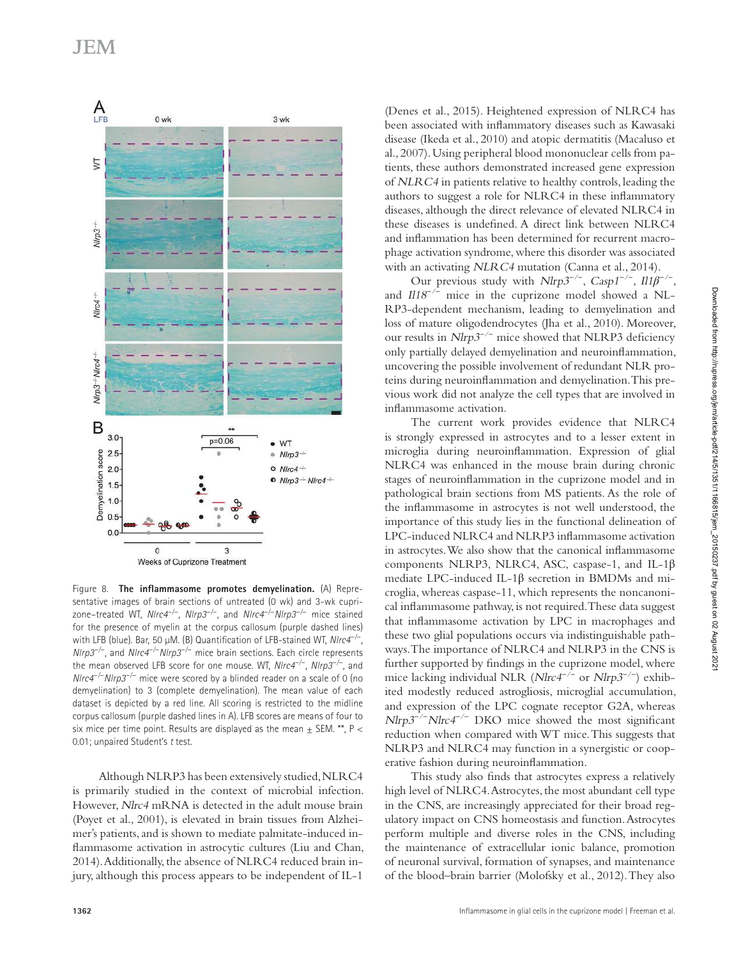

Figure 8. **the inflammasome promotes demyelination.** (A) Representative images of brain sections of untreated (0 wk) and 3-wk cuprizone–treated WT, Nlrc4 *−*/*−* , Nlrp3 *−*/*−* , and Nlrc4 *<sup>−</sup>*/*<sup>−</sup>*Nlrp3 *<sup>−</sup>*/<sup>−</sup> mice stained for the presence of myelin at the corpus callosum (purple dashed lines) with LFB (blue). Bar, 50 µM. (B) Quantification of LFB-stained WT, Nlrc4 *−*/*−* , *NIrp3<sup>-/−</sup>*, and *NIrc4<sup>-/−</sup>NIrp3<sup>-/−</sup>* mice brain sections. Each circle represents the mean observed LFB score for one mouse. WT, Nlrc4 *−*/*−* , Nlrp3 *−*/*−* , and Nlrc4 *<sup>−</sup>*/*<sup>−</sup>*Nlrp3 *<sup>−</sup>*/<sup>−</sup> mice were scored by a blinded reader on a scale of 0 (no demyelination) to 3 (complete demyelination). The mean value of each dataset is depicted by a red line. All scoring is restricted to the midline corpus callosum (purple dashed lines in A). LFB scores are means of four to six mice per time point. Results are displayed as the mean  $\pm$  SEM. \*\*, P < 0.01; unpaired Student's t test.

Although NLRP3 has been extensively studied, NLRC4 is primarily studied in the context of microbial infection. However, Nlrc4 mRNA is detected in the adult mouse brain (Poyet et al., 2001), is elevated in brain tissues from Alzheimer's patients, and is shown to mediate palmitate-induced inflammasome activation in astrocytic cultures (Liu and Chan, 2014). Additionally, the absence of NLRC4 reduced brain injury, although this process appears to be independent of IL-1

(Denes et al., 2015). Heightened expression of NLRC4 has been associated with inflammatory diseases such as Kawasaki disease (Ikeda et al., 2010) and atopic dermatitis (Macaluso et al., 2007). Using peripheral blood mononuclear cells from patients, these authors demonstrated increased gene expression of NLRC4 in patients relative to healthy controls, leading the authors to suggest a role for NLRC4 in these inflammatory diseases, although the direct relevance of elevated NLRC4 in these diseases is undefined. A direct link between NLRC4 and inflammation has been determined for recurrent macrophage activation syndrome, where this disorder was associated with an activating NLRC4 mutation (Canna et al., 2014).

Our previous study with Nlrp3 *−*/*−* , Casp1 *−*/*−* , Il1*β −*/*−* , and *Il18<sup>-/-</sup>* mice in the cuprizone model showed a NL-RP3-dependent mechanism, leading to demyelination and loss of mature oligodendrocytes (Jha et al., 2010). Moreover, our results in Nlrp3 *−*/*−* mice showed that NLRP3 deficiency only partially delayed demyelination and neuroinflammation, uncovering the possible involvement of redundant NLR proteins during neuroinflammation and demyelination. This previous work did not analyze the cell types that are involved in inflammasome activation.

The current work provides evidence that NLRC4 is strongly expressed in astrocytes and to a lesser extent in microglia during neuroinflammation. Expression of glial NLRC4 was enhanced in the mouse brain during chronic stages of neuroinflammation in the cuprizone model and in pathological brain sections from MS patients. As the role of the inflammasome in astrocytes is not well understood, the importance of this study lies in the functional delineation of LPC-induced NLRC4 and NLRP3 inflammasome activation in astrocytes. We also show that the canonical inflammasome components NLRP3, NLRC4, ASC, caspase-1, and IL-1β mediate LPC-induced IL-1β secretion in BMDMs and microglia, whereas caspase-11, which represents the noncanonical inflammasome pathway, is not required. These data suggest that inflammasome activation by LPC in macrophages and these two glial populations occurs via indistinguishable pathways. The importance of NLRC4 and NLRP3 in the CNS is further supported by findings in the cuprizone model, where mice lacking individual NLR (*Nlrc4<sup>-/-</sup>* or *Nlrp3<sup>-/-</sup>*) exhibited modestly reduced astrogliosis, microglial accumulation, and expression of the LPC cognate receptor G2A, whereas *Nlrp3<sup>-/−</sup>Nlrc4<sup>-/−</sup>* DKO mice showed the most significant reduction when compared with WT mice. This suggests that NLRP3 and NLRC4 may function in a synergistic or cooperative fashion during neuroinflammation.

This study also finds that astrocytes express a relatively high level of NLRC4. Astrocytes, the most abundant cell type in the CNS, are increasingly appreciated for their broad regulatory impact on CNS homeostasis and function. Astrocytes perform multiple and diverse roles in the CNS, including the maintenance of extracellular ionic balance, promotion of neuronal survival, formation of synapses, and maintenance of the blood–brain barrier (Molofsky et al., 2012). They also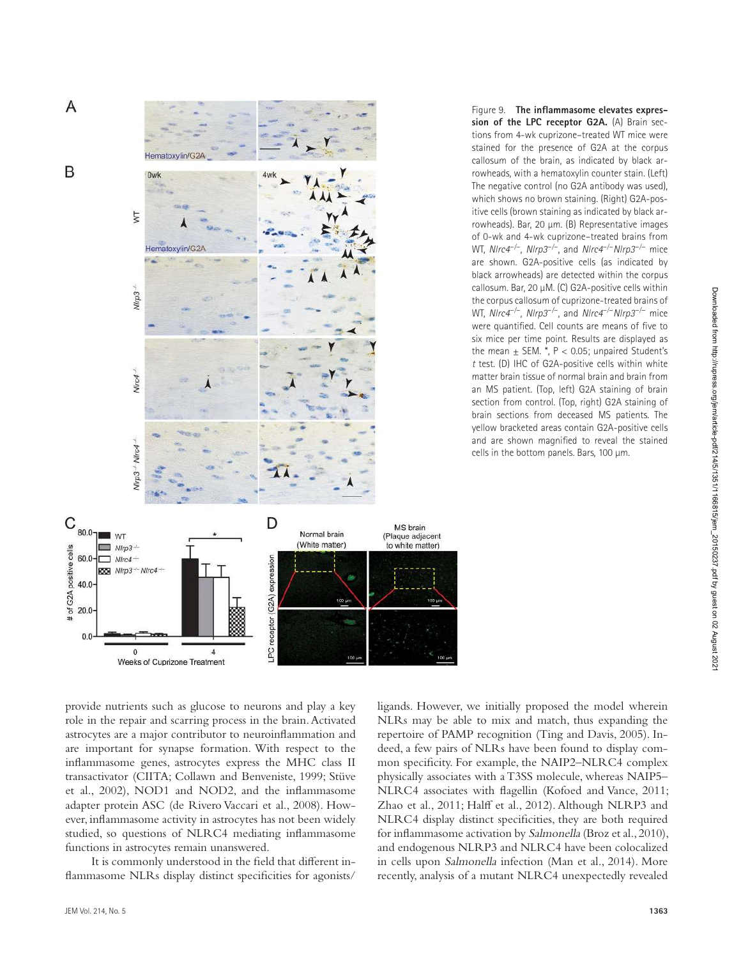

Figure 9. **the inflammasome elevates expression of the LPc receptor G2A.** (A) Brain sections from 4-wk cuprizone–treated WT mice were stained for the presence of G2A at the corpus callosum of the brain, as indicated by black arrowheads, with a hematoxylin counter stain. (Left) The negative control (no G2A antibody was used), which shows no brown staining. (Right) G2A-positive cells (brown staining as indicated by black arrowheads). Bar, 20 µm. (B) Representative images of 0-wk and 4-wk cuprizone–treated brains from WT, Nlrc4 *−*/*−* , Nlrp3 *−*/*−* , and Nlrc4 *<sup>−</sup>*/*<sup>−</sup>*Nlrp3 *<sup>−</sup>*/<sup>−</sup> mice are shown. G2A-positive cells (as indicated by black arrowheads) are detected within the corpus callosum. Bar, 20 µM. (C) G2A-positive cells within the corpus callosum of cuprizone-treated brains of WT, Nlrc4 *−*/*−* , Nlrp3 *−*/*−* , and Nlrc4 *<sup>−</sup>*/*<sup>−</sup>*Nlrp3 *<sup>−</sup>*/<sup>−</sup> mice were quantified. Cell counts are means of five to six mice per time point. Results are displayed as the mean  $\pm$  SEM.  $^*$ , P < 0.05; unpaired Student's <sup>t</sup> test. (D) IHC of G2A-positive cells within white matter brain tissue of normal brain and brain from an MS patient. (Top, left) G2A staining of brain section from control. (Top, right) G2A staining of brain sections from deceased MS patients. The yellow bracketed areas contain G2A-positive cells and are shown magnified to reveal the stained cells in the bottom panels. Bars, 100 µm.

provide nutrients such as glucose to neurons and play a key role in the repair and scarring process in the brain. Activated astrocytes are a major contributor to neuroinflammation and

are important for synapse formation. With respect to the inflammasome genes, astrocytes express the MHC class II transactivator (CIITA; Collawn and Benveniste, 1999; Stüve et al., 2002), NOD1 and NOD2, and the inflammasome adapter protein ASC (de Rivero Vaccari et al., 2008). However, inflammasome activity in astrocytes has not been widely studied, so questions of NLRC4 mediating inflammasome functions in astrocytes remain unanswered.

It is commonly understood in the field that different inflammasome NLRs display distinct specificities for agonists/

JEM Vol. 214, No. 5 **1363**

ligands. However, we initially proposed the model wherein NLRs may be able to mix and match, thus expanding the repertoire of PAMP recognition (Ting and Davis, 2005). Indeed, a few pairs of NLRs have been found to display common specificity. For example, the NAIP2–NLRC4 complex physically associates with a T3SS molecule, whereas NAIP5– NLRC4 associates with flagellin (Kofoed and Vance, 2011; Zhao et al., 2011; Halff et al., 2012). Although NLRP3 and NLRC4 display distinct specificities, they are both required for inflammasome activation by Salmonella (Broz et al., 2010), and endogenous NLRP3 and NLRC4 have been colocalized in cells upon Salmonella infection (Man et al., 2014). More recently, analysis of a mutant NLRC4 unexpectedly revealed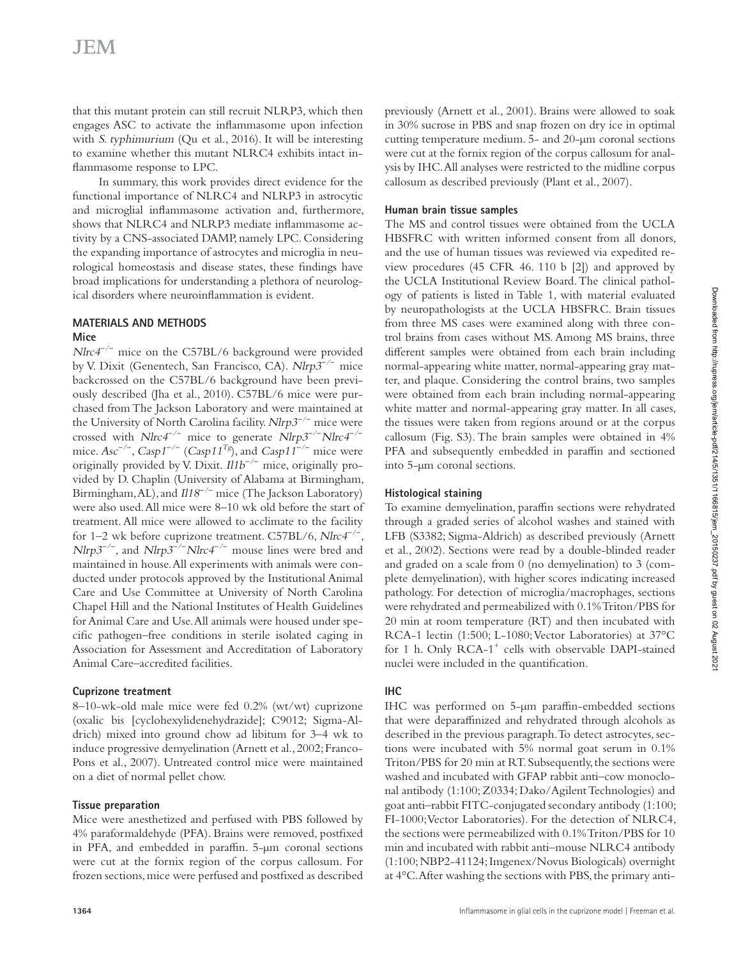that this mutant protein can still recruit NLRP3, which then engages ASC to activate the inflammasome upon infection with S. typhimurium (Qu et al., 2016). It will be interesting to examine whether this mutant NLRC4 exhibits intact inflammasome response to LPC.

In summary, this work provides direct evidence for the functional importance of NLRC4 and NLRP3 in astrocytic and microglial inflammasome activation and, furthermore, shows that NLRC4 and NLRP3 mediate inflammasome activity by a CNS-associated DAMP, namely LPC. Considering the expanding importance of astrocytes and microglia in neurological homeostasis and disease states, these findings have broad implications for understanding a plethora of neurological disorders where neuroinflammation is evident.

### **MAterIALS And MethodS**

#### **Mice**

*Nlrc4<sup>-/-</sup>* mice on the C57BL/6 background were provided by V. Dixit (Genentech, San Francisco, CA). Nlrp3 *−*/*−* mice backcrossed on the C57BL/6 background have been previously described (Jha et al., 2010). C57BL/6 mice were purchased from The Jackson Laboratory and were maintained at the University of North Carolina facility. Nlrp3 *−*/*−* mice were *crossed with Nlrc4<sup>-/−</sup> mice to generate Nlrp3<sup>-/−</sup>Nlrc4<sup>-/−</sup>* mice.  $Asc^{-/-}$ ,  $Casp1^{-/-}$  ( $Casp11^{Tg}$ ), and  $Casp11^{-/-}$  mice were originally provided by V. Dixit. Il1b *−*/*−* mice, originally provided by D. Chaplin (University of Alabama at Birmingham, Birmingham, AL), and *Il18<sup>-/-</sup>* mice (The Jackson Laboratory) were also used. All mice were 8–10 wk old before the start of treatment. All mice were allowed to acclimate to the facility for 1–2 wk before cuprizone treatment. C57BL/6, Nlrc4 *−*/*−* , *Nlrp3<sup>-/−</sup>*, and *Nlrp3<sup>-/−</sup>Nlrc4<sup>-/−</sup></sup> mouse lines were bred and* maintained in house. All experiments with animals were conducted under protocols approved by the Institutional Animal Care and Use Committee at University of North Carolina Chapel Hill and the National Institutes of Health Guidelines for Animal Care and Use. All animals were housed under specific pathogen–free conditions in sterile isolated caging in Association for Assessment and Accreditation of Laboratory Animal Care–accredited facilities.

### **cuprizone treatment**

8–10-wk-old male mice were fed 0.2% (wt/wt) cuprizone (oxalic bis [cyclohexylidenehydrazide]; C9012; Sigma-Aldrich) mixed into ground chow ad libitum for 3–4 wk to induce progressive demyelination (Arnett et al., 2002; Franco-Pons et al., 2007). Untreated control mice were maintained on a diet of normal pellet chow.

### **tissue preparation**

Mice were anesthetized and perfused with PBS followed by 4% paraformaldehyde (PFA). Brains were removed, postfixed in PFA, and embedded in paraffin. 5-µm coronal sections were cut at the fornix region of the corpus callosum. For frozen sections, mice were perfused and postfixed as described previously (Arnett et al., 2001). Brains were allowed to soak in 30% sucrose in PBS and snap frozen on dry ice in optimal cutting temperature medium. 5- and 20-µm coronal sections were cut at the fornix region of the corpus callosum for analysis by IHC. All analyses were restricted to the midline corpus callosum as described previously (Plant et al., 2007).

### **human brain tissue samples**

The MS and control tissues were obtained from the UCLA HBSFRC with written informed consent from all donors, and the use of human tissues was reviewed via expedited review procedures (45 CFR 46. 110 b [2]) and approved by the UCLA Institutional Review Board. The clinical pathology of patients is listed in Table 1, with material evaluated by neuropathologists at the UCLA HBSFRC. Brain tissues from three MS cases were examined along with three control brains from cases without MS. Among MS brains, three different samples were obtained from each brain including normal-appearing white matter, normal-appearing gray matter, and plaque. Considering the control brains, two samples were obtained from each brain including normal-appearing white matter and normal-appearing gray matter. In all cases, the tissues were taken from regions around or at the corpus callosum (Fig. S3). The brain samples were obtained in 4% PFA and subsequently embedded in paraffin and sectioned into 5-µm coronal sections.

### **histological staining**

To examine demyelination, paraffin sections were rehydrated through a graded series of alcohol washes and stained with LFB (S3382; Sigma-Aldrich) as described previously (Arnett et al., 2002). Sections were read by a double-blinded reader and graded on a scale from 0 (no demyelination) to 3 (complete demyelination), with higher scores indicating increased pathology. For detection of microglia/macrophages, sections were rehydrated and permeabilized with 0.1% Triton/PBS for 20 min at room temperature (RT) and then incubated with RCA-1 lectin (1:500; L-1080; Vector Laboratories) at 37°C for 1 h. Only RCA-1<sup>+</sup> cells with observable DAPI-stained nuclei were included in the quantification.

## **Ihc**

IHC was performed on 5-µm paraffin-embedded sections that were deparaffinized and rehydrated through alcohols as described in the previous paragraph. To detect astrocytes, sections were incubated with 5% normal goat serum in 0.1% Triton/PBS for 20 min at RT. Subsequently, the sections were washed and incubated with GFAP rabbit anti–cow monoclonal antibody (1:100; Z0334; Dako/Agilent Technologies) and goat anti–rabbit FITC-conjugated secondary antibody (1:100; FI-1000; Vector Laboratories). For the detection of NLRC4, the sections were permeabilized with 0.1% Triton/PBS for 10 min and incubated with rabbit anti–mouse NLRC4 antibody (1:100; NBP2-41124; Imgenex/Novus Biologicals) overnight at 4°C. After washing the sections with PBS, the primary anti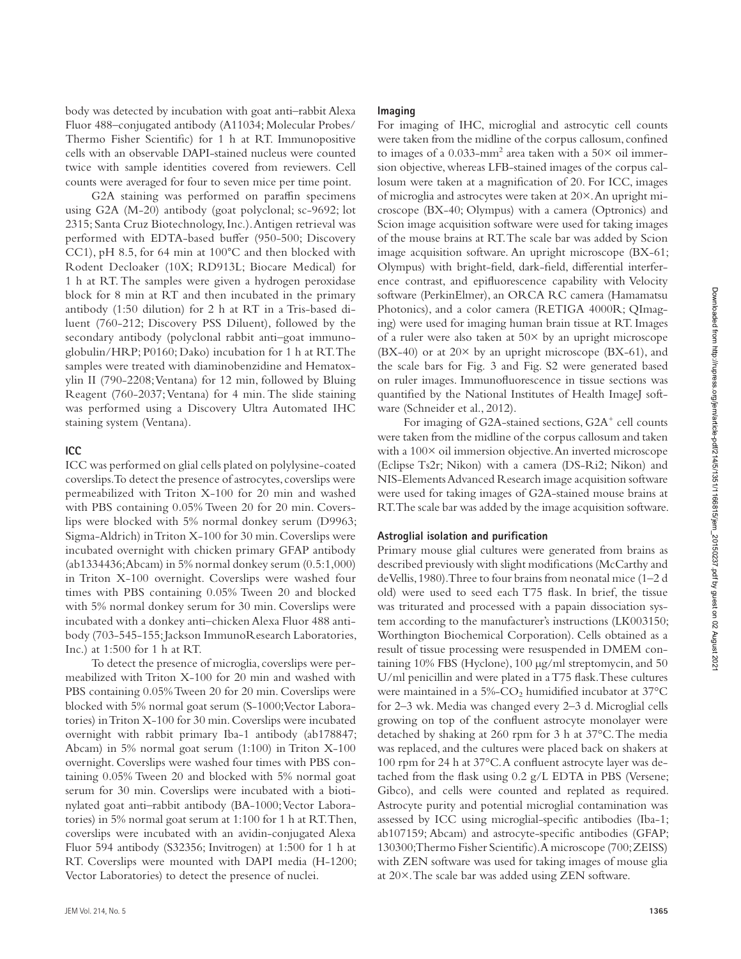body was detected by incubation with goat anti–rabbit Alexa Fluor 488–conjugated antibody (A11034; Molecular Probes/ Thermo Fisher Scientific) for 1 h at RT. Immunopositive cells with an observable DAPI-stained nucleus were counted twice with sample identities covered from reviewers. Cell counts were averaged for four to seven mice per time point.

G2A staining was performed on paraffin specimens using G2A (M-20) antibody (goat polyclonal; sc-9692; lot 2315; Santa Cruz Biotechnology, Inc.). Antigen retrieval was performed with EDTA-based buffer (950-500; Discovery CC1), pH 8.5, for 64 min at 100◦C and then blocked with Rodent Decloaker (10X; RD913L; Biocare Medical) for 1 h at RT. The samples were given a hydrogen peroxidase block for 8 min at RT and then incubated in the primary antibody (1:50 dilution) for 2 h at RT in a Tris-based diluent (760-212; Discovery PSS Diluent), followed by the secondary antibody (polyclonal rabbit anti–goat immunoglobulin/HRP; P0160; Dako) incubation for 1 h at RT. The samples were treated with diaminobenzidine and Hematoxylin II (790-2208; Ventana) for 12 min, followed by Bluing Reagent (760-2037; Ventana) for 4 min. The slide staining was performed using a Discovery Ultra Automated IHC staining system (Ventana).

#### **Icc**

ICC was performed on glial cells plated on polylysine-coated coverslips. To detect the presence of astrocytes, coverslips were permeabilized with Triton X-100 for 20 min and washed with PBS containing 0.05% Tween 20 for 20 min. Coverslips were blocked with 5% normal donkey serum (D9963; Sigma-Aldrich) in Triton X-100 for 30 min. Coverslips were incubated overnight with chicken primary GFAP antibody (ab1334436; Abcam) in 5% normal donkey serum (0.5:1,000) in Triton X-100 overnight. Coverslips were washed four times with PBS containing 0.05% Tween 20 and blocked with 5% normal donkey serum for 30 min. Coverslips were incubated with a donkey anti–chicken Alexa Fluor 488 antibody (703-545-155; Jackson ImmunoResearch Laboratories, Inc.) at 1:500 for 1 h at RT.

To detect the presence of microglia, coverslips were permeabilized with Triton X-100 for 20 min and washed with PBS containing 0.05% Tween 20 for 20 min. Coverslips were blocked with 5% normal goat serum (S-1000; Vector Laboratories) in Triton X-100 for 30 min. Coverslips were incubated overnight with rabbit primary Iba-1 antibody (ab178847; Abcam) in 5% normal goat serum (1:100) in Triton X-100 overnight. Coverslips were washed four times with PBS containing 0.05% Tween 20 and blocked with 5% normal goat serum for 30 min. Coverslips were incubated with a biotinylated goat anti–rabbit antibody (BA-1000; Vector Laboratories) in 5% normal goat serum at 1:100 for 1 h at RT. Then, coverslips were incubated with an avidin-conjugated Alexa Fluor 594 antibody (S32356; Invitrogen) at 1:500 for 1 h at RT. Coverslips were mounted with DAPI media (H-1200; Vector Laboratories) to detect the presence of nuclei.

#### **Imaging**

For imaging of IHC, microglial and astrocytic cell counts were taken from the midline of the corpus callosum, confined to images of a 0.033-mm<sup>2</sup> area taken with a 50 $\times$  oil immersion objective, whereas LFB-stained images of the corpus callosum were taken at a magnification of 20. For ICC, images of microglia and astrocytes were taken at 20×. An upright microscope (BX-40; Olympus) with a camera (Optronics) and Scion image acquisition software were used for taking images of the mouse brains at RT. The scale bar was added by Scion image acquisition software. An upright microscope (BX-61; Olympus) with bright-field, dark-field, differential interference contrast, and epifluorescence capability with Velocity software (PerkinElmer), an ORCA RC camera (Hamamatsu Photonics), and a color camera (RETIGA 4000R; QImaging) were used for imaging human brain tissue at RT. Images of a ruler were also taken at  $50\times$  by an upright microscope  $(BX-40)$  or at  $20\times$  by an upright microscope  $(BX-61)$ , and the scale bars for Fig. 3 and Fig. S2 were generated based on ruler images. Immunofluorescence in tissue sections was quantified by the National Institutes of Health ImageJ software (Schneider et al., 2012).

For imaging of G2A-stained sections, G2A<sup>+</sup> cell counts were taken from the midline of the corpus callosum and taken with a 100× oil immersion objective. An inverted microscope (Eclipse Ts2r; Nikon) with a camera (DS-Ri2; Nikon) and NIS-Elements Advanced Research image acquisition software were used for taking images of G2A-stained mouse brains at RT. The scale bar was added by the image acquisition software.

#### **Astroglial isolation and purification**

Primary mouse glial cultures were generated from brains as described previously with slight modifications (McCarthy and de Vellis, 1980). Three to four brains from neonatal mice (1–2 d old) were used to seed each T75 flask. In brief, the tissue was triturated and processed with a papain dissociation system according to the manufacturer's instructions (LK003150; Worthington Biochemical Corporation). Cells obtained as a result of tissue processing were resuspended in DMEM containing 10% FBS (Hyclone), 100 µg/ml streptomycin, and 50 U/ml penicillin and were plated in a T75 flask. These cultures were maintained in a  $5\%$ -CO<sub>2</sub> humidified incubator at  $37^{\circ}$ C for 2–3 wk. Media was changed every 2–3 d. Microglial cells growing on top of the confluent astrocyte monolayer were detached by shaking at 260 rpm for 3 h at 37°C. The media was replaced, and the cultures were placed back on shakers at 100 rpm for 24 h at 37°C. A confluent astrocyte layer was detached from the flask using 0.2 g/L EDTA in PBS (Versene; Gibco), and cells were counted and replated as required. Astrocyte purity and potential microglial contamination was assessed by ICC using microglial-specific antibodies (Iba-1; ab107159; Abcam) and astrocyte-specific antibodies (GFAP; 130300; Thermo Fisher Scientific). A microscope (700; ZEISS) with ZEN software was used for taking images of mouse glia at 20×. The scale bar was added using ZEN software.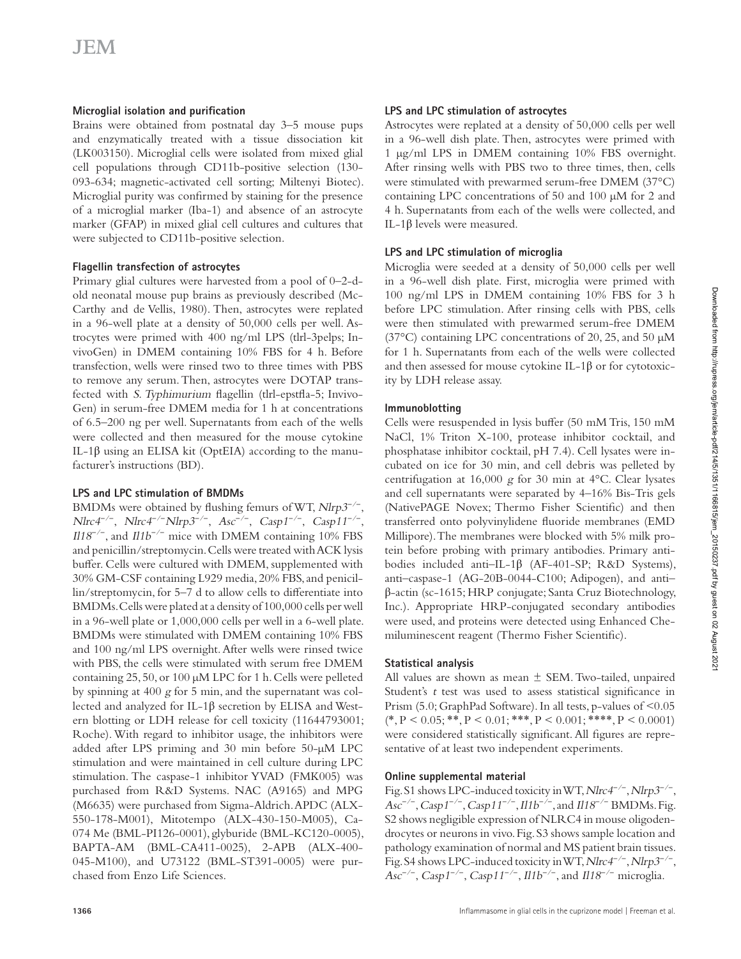## **Microglial isolation and purification**

Brains were obtained from postnatal day 3–5 mouse pups and enzymatically treated with a tissue dissociation kit (LK003150). Microglial cells were isolated from mixed glial cell populations through CD11b-positive selection (130- 093-634; magnetic-activated cell sorting; Miltenyi Biotec). Microglial purity was confirmed by staining for the presence of a microglial marker (Iba-1) and absence of an astrocyte marker (GFAP) in mixed glial cell cultures and cultures that were subjected to CD11b-positive selection.

## **Flagellin transfection of astrocytes**

Primary glial cultures were harvested from a pool of 0–2-dold neonatal mouse pup brains as previously described (Mc-Carthy and de Vellis, 1980). Then, astrocytes were replated in a 96-well plate at a density of 50,000 cells per well. Astrocytes were primed with 400 ng/ml LPS (tlrl-3pelps; InvivoGen) in DMEM containing 10% FBS for 4 h. Before transfection, wells were rinsed two to three times with PBS to remove any serum. Then, astrocytes were DOTAP transfected with S. Typhimurium flagellin (tlrl-epstfla-5; Invivo-Gen) in serum-free DMEM media for 1 h at concentrations of 6.5–200 ng per well. Supernatants from each of the wells were collected and then measured for the mouse cytokine IL-1β using an ELISA kit (OptEIA) according to the manufacturer's instructions (BD).

### **LPS and LPC stimulation of BMDMs**

BMDMs were obtained by flushing femurs of WT, Nlrp3<sup>-/−</sup>, *Nlrc4<sup>-/−</sup>, Nlrc4<sup>-/−</sup>Nlrp3<sup>-/−</sup>, Asc<sup>-/−</sup>, Casp1<sup>-/−</sup>, Casp11<sup>-/−</sup>* , *Il*18<sup>-/-</sup>, and *Il1b<sup>-/-</sup>* mice with DMEM containing 10% FBS and penicillin/streptomycin. Cells were treated with ACK lysis buffer. Cells were cultured with DMEM, supplemented with 30% GM-CSF containing L929 media, 20% FBS, and penicillin/streptomycin, for 5–7 d to allow cells to differentiate into BMDMs. Cells were plated at a density of 100,000 cells per well in a 96-well plate or 1,000,000 cells per well in a 6-well plate. BMDMs were stimulated with DMEM containing 10% FBS and 100 ng/ml LPS overnight. After wells were rinsed twice with PBS, the cells were stimulated with serum free DMEM containing 25, 50, or 100 µM LPC for 1 h. Cells were pelleted by spinning at 400 g for 5 min, and the supernatant was collected and analyzed for IL-1 $\beta$  secretion by ELISA and Western blotting or LDH release for cell toxicity (11644793001; Roche). With regard to inhibitor usage, the inhibitors were added after LPS priming and 30 min before 50-µM LPC stimulation and were maintained in cell culture during LPC stimulation. The caspase-1 inhibitor YVAD (FMK005) was purchased from R&D Systems. NAC (A9165) and MPG (M6635) were purchased from Sigma-Aldrich. APDC (ALX-550-178-M001), Mitotempo (ALX-430-150-M005), Ca-074 Me (BML-PI126-0001), glyburide (BML-KC120-0005), BAPTA-AM (BML-CA411-0025), 2-APB (ALX-400-045-M100), and U73122 (BML-ST391-0005) were purchased from Enzo Life Sciences.

## **LPS and LPc stimulation of astrocytes**

Astrocytes were replated at a density of 50,000 cells per well in a 96-well dish plate. Then, astrocytes were primed with 1 µg/ml LPS in DMEM containing 10% FBS overnight. After rinsing wells with PBS two to three times, then, cells were stimulated with prewarmed serum-free DMEM (37°C) containing LPC concentrations of 50 and 100 µM for 2 and 4 h. Supernatants from each of the wells were collected, and IL-1β levels were measured.

## **LPS and LPc stimulation of microglia**

Microglia were seeded at a density of 50,000 cells per well in a 96-well dish plate. First, microglia were primed with 100 ng/ml LPS in DMEM containing 10% FBS for 3 h before LPC stimulation. After rinsing cells with PBS, cells were then stimulated with prewarmed serum-free DMEM (37°C) containing LPC concentrations of 20, 25, and 50 µM for 1 h. Supernatants from each of the wells were collected and then assessed for mouse cytokine IL-1β or for cytotoxicity by LDH release assay.

## **Immunoblotting**

Cells were resuspended in lysis buffer (50 mM Tris, 150 mM NaCl, 1% Triton X-100, protease inhibitor cocktail, and phosphatase inhibitor cocktail, pH 7.4). Cell lysates were incubated on ice for 30 min, and cell debris was pelleted by centrifugation at 16,000 g for 30 min at 4°C. Clear lysates and cell supernatants were separated by 4–16% Bis-Tris gels (NativePAGE Novex; Thermo Fisher Scientific) and then transferred onto polyvinylidene fluoride membranes (EMD Millipore). The membranes were blocked with 5% milk protein before probing with primary antibodies. Primary antibodies included anti–IL-1β (AF-401-SP; R&D Systems), anti–caspase-1 (AG-20B-0044-C100; Adipogen), and anti– β-actin (sc-1615; HRP conjugate; Santa Cruz Biotechnology, Inc.). Appropriate HRP-conjugated secondary antibodies were used, and proteins were detected using Enhanced Chemiluminescent reagent (Thermo Fisher Scientific).

## **Statistical analysis**

All values are shown as mean  $\pm$  SEM. Two-tailed, unpaired Student's t test was used to assess statistical significance in Prism (5.0; GraphPad Software). In all tests, p-values of <0.05  $(*, P < 0.05; **, P < 0.01; ***, P < 0.001; ***, P < 0.0001)$ were considered statistically significant. All figures are representative of at least two independent experiments.

## **online supplemental material**

Fig. S1 shows LPC-induced toxicity in WT, *Nlrc4<sup>-/−</sup>*, *Nlrp3<sup>-/−</sup>*, *Asc<sup>-/−</sup>*, *Casp1<sup>-/−</sup>*, *Casp11<sup>-/−</sup>, Il1b<sup>-/−</sup>, and Il18<sup>-/−</sup> BMDMs. Fig.* S2 shows negligible expression of NLRC4 in mouse oligodendrocytes or neurons in vivo. Fig. S3 shows sample location and pathology examination of normal and MS patient brain tissues. Fig. S4 shows LPC-induced toxicity in WT, *Nlrc4<sup>-/−</sup>*, *Nlrp3<sup>-/−</sup>*, *Asc<sup>-/−</sup>*, *Casp1<sup>-/−</sup>*, *Casp11<sup>-/−</sup>*, *Il1b<sup>-/−</sup>*, and *Il18<sup>-/−</sup> microglia.*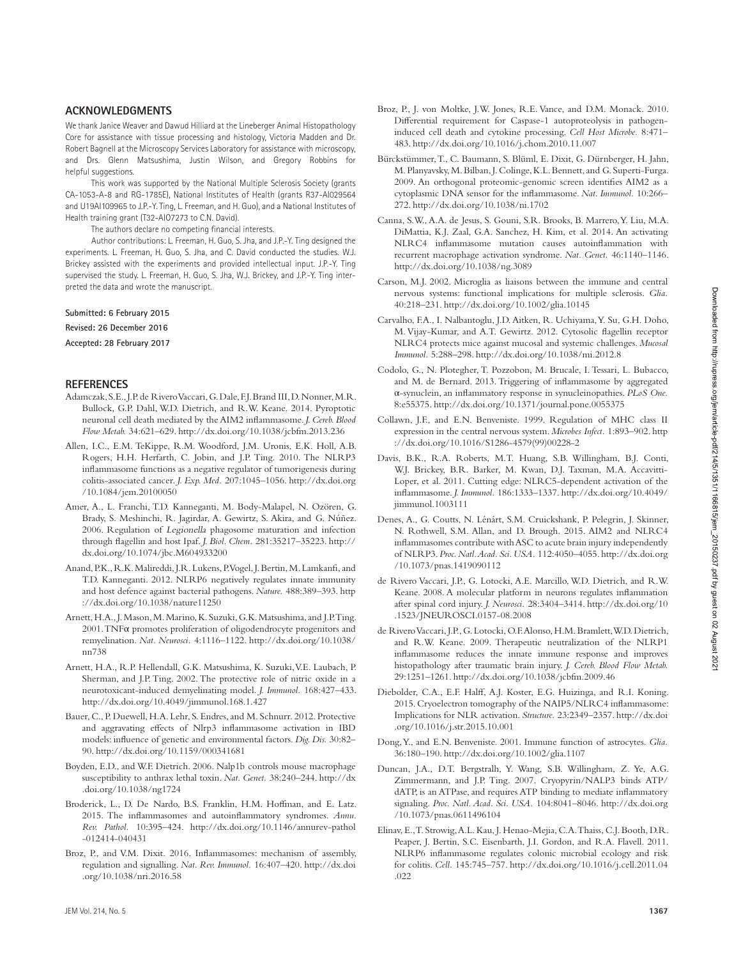We thank Janice Weaver and Dawud Hilliard at the Lineberger Animal Histopathology Core for assistance with tissue processing and histology, Victoria Madden and Dr. Robert Bagnell at the Microscopy Services Laboratory for assistance with microscopy, and Drs. Glenn Matsushima, Justin Wilson, and Gregory Robbins for helpful suggestions.

This work was supported by the National Multiple Sclerosis Society (grants CA-1053-A-8 and RG-1785E), National Institutes of Health (grants R37-AI029564 and U19AI109965 to J.P.-Y. Ting, L. Freeman, and H. Guo), and a National Institutes of Health training grant (T32-AIO7273 to C.N. David).

The authors declare no competing financial interests.

Author contributions: L. Freeman, H. Guo, S. Jha, and J.P.-Y. Ting designed the experiments. L. Freeman, H. Guo, S. Jha, and C. David conducted the studies. W.J. Brickey assisted with the experiments and provided intellectual input. J.P.-Y. Ting supervised the study. L. Freeman, H. Guo, S. Jha, W.J. Brickey, and J.P.-Y. Ting interpreted the data and wrote the manuscript.

**Submitted: 6 February 2015**

**Revised: 26 December 2016**

**Accepted: 28 February 2017**

#### **reFerenceS**

- Adamczak, S.E., J.P. de Rivero Vaccari, G. Dale, F.J. Brand III, D. Nonner, M.R. Bullock, G.P. Dahl, W.D. Dietrich, and R.W. Keane. 2014. Pyroptotic neuronal cell death mediated by the AIM2 inflammasome. *J. Cereb. Blood Flow Metab.* 34:621–629. http ://dx .doi .org /10 .1038 /jcbfm .2013 .236
- Allen, I.C., E.M. TeKippe, R.M. Woodford, J.M. Uronis, E.K. Holl, A.B. Rogers, H.H. Herfarth, C. Jobin, and J.P. Ting. 2010. The NLRP3 inflammasome functions as a negative regulator of tumorigenesis during colitis-associated cancer. *J. Exp. Med.* 207:1045–1056. http ://dx .doi .org /10 .1084 /jem .20100050
- Amer, A., L. Franchi, T.D. Kanneganti, M. Body-Malapel, N. Ozören, G. Brady, S. Meshinchi, R. Jagirdar, A. Gewirtz, S. Akira, and G. Núñez. 2006. Regulation of Legionella phagosome maturation and infection through flagellin and host Ipaf. *J. Biol. Chem.* 281:35217–35223. http :// dx .doi .org /10 .1074 /jbc .M604933200
- Anand, P.K., R.K. Malireddi, J.R. Lukens, P. Vogel, J. Bertin, M. Lamkanfi, and T.D. Kanneganti. 2012. NLRP6 negatively regulates innate immunity and host defence against bacterial pathogens. *Nature.* 488:389–393. http ://dx.doi.org/10.1038/nature11250
- Arnett, H.A., J. Mason, M. Marino, K. Suzuki, G.K. Matsushima, and J.P. Ting. 2001. TNFα promotes proliferation of oligodendrocyte progenitors and remyelination. Nat. Neurosci. 4:1116-1122. http://dx.doi.org/10.1038/ nn738
- Arnett, H.A., R.P. Hellendall, G.K. Matsushima, K. Suzuki, V.E. Laubach, P. Sherman, and J.P. Ting. 2002. The protective role of nitric oxide in a neurotoxicant-induced demyelinating model. *J. Immunol.* 168:427–433. http ://dx .doi .org /10 .4049 /jimmunol .168 .1 .427
- Bauer, C., P. Duewell, H.A. Lehr, S. Endres, and M. Schnurr. 2012. Protective and aggravating effects of Nlrp3 inflammasome activation in IBD models: influence of genetic and environmental factors. *Dig. Dis.* 30:82– 90. http ://dx .doi .org /10 .1159 /000341681
- Boyden, E.D., and W.F. Dietrich. 2006. Nalp1b controls mouse macrophage susceptibility to anthrax lethal toxin. *Nat. Genet.* 38:240–244. http ://dx .doi .org /10 .1038 /ng1724
- Broderick, L., D. De Nardo, B.S. Franklin, H.M. Hoffman, and E. Latz. 2015. The inflammasomes and autoinflammatory syndromes. *Annu. Rev. Pathol.* 10:395-424. http://dx.doi.org/10.1146/annurev-pathol  $-012414 - 040431$
- Broz, P., and V.M. Dixit. 2016. Inflammasomes: mechanism of assembly, regulation and signalling. *Nat. Rev. Immunol.* 16:407-420. http://dx.doi .org /10 .1038 /nri .2016 .58
- Broz, P., J. von Moltke, J.W. Jones, R.E. Vance, and D.M. Monack. 2010. Differential requirement for Caspase-1 autoproteolysis in pathogeninduced cell death and cytokine processing. *Cell Host Microbe.* 8:471– 483. http ://dx .doi .org /10 .1016 /j .chom .2010 .11 .007
- Bürckstümmer, T., C. Baumann, S. Blüml, E. Dixit, G. Dürnberger, H. Jahn, M. Planyavsky, M. Bilban, J. Colinge, K.L. Bennett, and G. Superti-Furga. 2009. An orthogonal proteomic-genomic screen identifies AIM2 as a cytoplasmic DNA sensor for the inflammasome. *Nat. Immunol.* 10:266– 272. http ://dx .doi .org /10 .1038 /ni .1702
- Canna, S.W., A.A. de Jesus, S. Gouni, S.R. Brooks, B. Marrero, Y. Liu, M.A. DiMattia, K.J. Zaal, G.A. Sanchez, H. Kim, et al. 2014. An activating NLRC4 inflammasome mutation causes autoinflammation with recurrent macrophage activation syndrome. *Nat. Genet.* 46:1140–1146. http://dx.doi.org/10.1038/ng.3089
- Carson, M.J. 2002. Microglia as liaisons between the immune and central nervous systems: functional implications for multiple sclerosis. *Glia.* 40:218–231. http ://dx .doi .org /10 .1002 /glia .10145
- Carvalho, F.A., I. Nalbantoglu, J.D. Aitken, R. Uchiyama, Y. Su, G.H. Doho, M. Vijay-Kumar, and A.T. Gewirtz. 2012. Cytosolic flagellin receptor NLRC4 protects mice against mucosal and systemic challenges. *Mucosal Immunol.* 5:288–298. http ://dx .doi .org /10 .1038 /mi .2012 .8
- Codolo, G., N. Plotegher, T. Pozzobon, M. Brucale, I. Tessari, L. Bubacco, and M. de Bernard. 2013. Triggering of inflammasome by aggregated α-synuclein, an inflammatory response in synucleinopathies. *PLoS One.* 8:e55375. http://dx.doi.org/10.1371/journal.pone.0055375
- Collawn, J.F., and E.N. Benveniste. 1999. Regulation of MHC class II expression in the central nervous system. *Microbes Infect.* 1:893–902. http ://dx .doi .org /10 .1016 /S1286 -4579(99)00228 -2
- Davis, B.K., R.A. Roberts, M.T. Huang, S.B. Willingham, B.J. Conti, W.J. Brickey, B.R. Barker, M. Kwan, D.J. Taxman, M.A. Accavitti-Loper, et al. 2011. Cutting edge: NLRC5-dependent activation of the inflammasome. *J. Immunol.* 186:1333-1337. http://dx.doi.org/10.4049/ jimmunol .1003111
- Denes, A., G. Coutts, N. Lénárt, S.M. Cruickshank, P. Pelegrin, J. Skinner, N. Rothwell, S.M. Allan, and D. Brough. 2015. AIM2 and NLRC4 inflammasomes contribute with ASC to acute brain injury independently of NLRP3. *Proc. Natl. Acad. Sci. USA.* 112:4050–4055. http ://dx .doi .org /10 .1073 /pnas .1419090112
- de Rivero Vaccari, J.P., G. Lotocki, A.E. Marcillo, W.D. Dietrich, and R.W. Keane. 2008. A molecular platform in neurons regulates inflammation after spinal cord injury. *J. Neurosci.* 28:3404-3414. http://dx.doi.org/10 .1523 /JNE URO SCI .0157 -08 .2008
- de Rivero Vaccari, J.P., G. Lotocki, O.F. Alonso, H.M. Bramlett, W.D. Dietrich, and R.W. Keane. 2009. Therapeutic neutralization of the NLRP1 inflammasome reduces the innate immune response and improves histopathology after traumatic brain injury. *J. Cereb. Blood Flow Metab.* 29:1251-1261. http://dx.doi.org/10.1038/jcbfm.2009.46
- Diebolder, C.A., E.F. Halff, A.J. Koster, E.G. Huizinga, and R.I. Koning. 2015. Cryoelectron tomography of the NAIP5/NLRC4 inflammasome: Implications for NLR activation. *Structure.* 23:2349–2357. http ://dx .doi .org /10 .1016 /j .str .2015 .10 .001
- Dong, Y., and E.N. Benveniste. 2001. Immune function of astrocytes. *Glia.* 36:180–190. http ://dx .doi .org /10 .1002 /glia .1107
- Duncan, J.A., D.T. Bergstralh, Y. Wang, S.B. Willingham, Z. Ye, A.G. Zimmermann, and J.P. Ting. 2007. Cryopyrin/NALP3 binds ATP/ dATP, is an ATPase, and requires ATP binding to mediate inflammatory signaling. *Proc. Natl. Acad. Sci. USA.* 104:8041–8046. http ://dx .doi .org /10 .1073 /pnas .0611496104
- Elinav, E., T. Strowig, A.L. Kau, J. Henao-Mejia, C.A. Thaiss, C.J. Booth, D.R. Peaper, J. Bertin, S.C. Eisenbarth, J.I. Gordon, and R.A. Flavell. 2011. NLRP6 inflammasome regulates colonic microbial ecology and risk for colitis. *Cell.* 145:745–757. http ://dx .doi .org /10 .1016 /j .cell .2011 .04 .022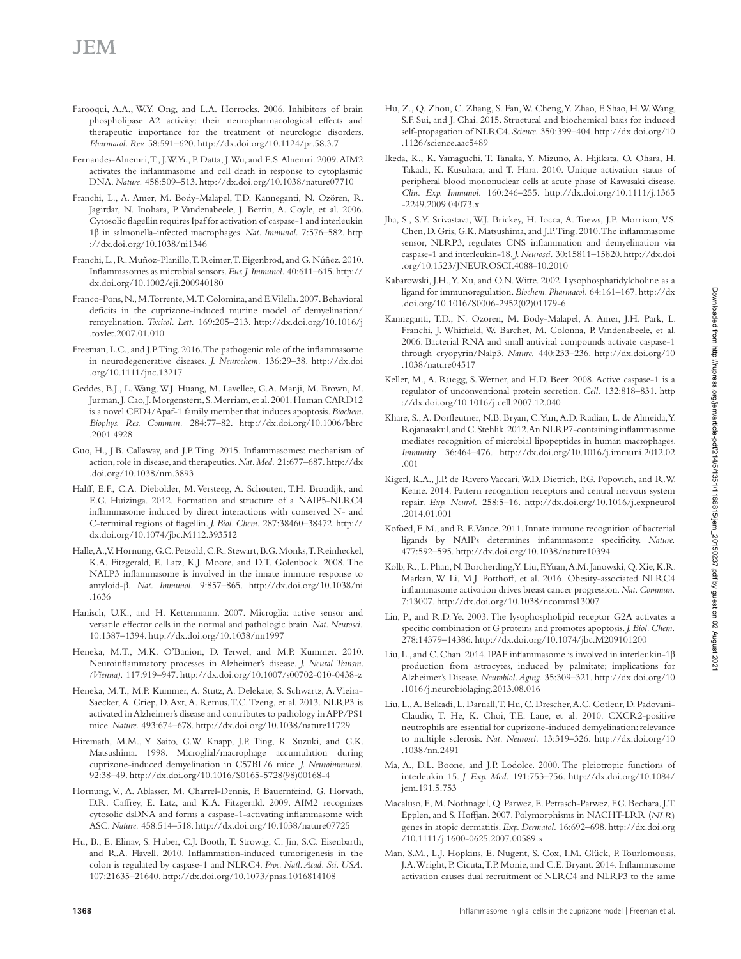- Farooqui, A.A., W.Y. Ong, and L.A. Horrocks. 2006. Inhibitors of brain phospholipase A2 activity: their neuropharmacological effects and therapeutic importance for the treatment of neurologic disorders. *Pharmacol. Rev.* 58:591–620. http ://dx .doi .org /10 .1124 /pr .58 .3 .7
- Fernandes-Alnemri, T., J.W. Yu, P. Datta, J. Wu, and E.S. Alnemri. 2009. AIM2 activates the inflammasome and cell death in response to cytoplasmic DNA. *Nature.* 458:509–513. http ://dx .doi .org /10 .1038 /nature07710
- Franchi, L., A. Amer, M. Body-Malapel, T.D. Kanneganti, N. Ozören, R. Jagirdar, N. Inohara, P. Vandenabeele, J. Bertin, A. Coyle, et al. 2006. Cytosolic flagellin requires Ipaf for activation of caspase-1 and interleukin 1β in salmonella-infected macrophages. *Nat. Immunol.* 7:576–582. http ://dx.doi.org/10.1038/ni1346
- Franchi, L., R. Muñoz-Planillo, T. Reimer, T. Eigenbrod, and G. Núñez. 2010. Inflammasomes as microbial sensors. *Eur. J. Immunol.* 40:611–615. http :// dx .doi .org /10 .1002 /eji .200940180
- Franco-Pons, N., M. Torrente, M.T. Colomina, and E. Vilella. 2007. Behavioral deficits in the cuprizone-induced murine model of demyelination/ remyelination. *Toxicol. Lett.* 169:205-213. http://dx.doi.org/10.1016/j .toxlet .2007 .01 .010
- Freeman, L.C., and J.P. Ting. 2016. The pathogenic role of the inflammasome in neurodegenerative diseases. *J. Neurochem.* 136:29-38. http://dx.doi .org /10 .1111 /jnc .13217
- Geddes, B.J., L. Wang, W.J. Huang, M. Lavellee, G.A. Manji, M. Brown, M. Jurman, J. Cao, J. Morgenstern, S. Merriam, et al. 2001. Human CARD12 is a novel CED4/Apaf-1 family member that induces apoptosis. *Biochem.*  Biophys. Res. Commun. 284:77-82. http://dx.doi.org/10.1006/bbrc .2001 .4928
- Guo, H., J.B. Callaway, and J.P. Ting. 2015. Inflammasomes: mechanism of action, role in disease, and therapeutics. *Nat. Med.* 21:677–687. http ://dx .doi .org /10 .1038 /nm .3893
- Halff, E.F., C.A. Diebolder, M. Versteeg, A. Schouten, T.H. Brondijk, and E.G. Huizinga. 2012. Formation and structure of a NAIP5-NLRC4 inflammasome induced by direct interactions with conserved N- and C-terminal regions of flagellin. *J. Biol. Chem.* 287:38460–38472. http :// dx .doi .org /10 .1074 /jbc .M112 .393512
- Halle, A., V. Hornung, G.C. Petzold, C.R. Stewart, B.G. Monks, T. Reinheckel, K.A. Fitzgerald, E. Latz, K.J. Moore, and D.T. Golenbock. 2008. The NALP3 inflammasome is involved in the innate immune response to amyloid-β. *Nat. Immunol.* 9:857-865. http://dx.doi.org/10.1038/ni .1636
- Hanisch, U.K., and H. Kettenmann. 2007. Microglia: active sensor and versatile effector cells in the normal and pathologic brain. *Nat. Neurosci.* 10:1387–1394. http ://dx .doi .org /10 .1038 /nn1997
- Heneka, M.T., M.K. O'Banion, D. Terwel, and M.P. Kummer. 2010. Neuroinflammatory processes in Alzheimer's disease. *J. Neural Transm. (Vienna).* 117:919–947. http ://dx .doi .org /10 .1007 /s00702 -010 -0438 -z
- Heneka, M.T., M.P. Kummer, A. Stutz, A. Delekate, S. Schwartz, A. Vieira-Saecker, A. Griep, D. Axt, A. Remus, T.C. Tzeng, et al. 2013. NLRP3 is activated in Alzheimer's disease and contributes to pathology in APP/PS1 mice. *Nature.* 493:674-678. http://dx.doi.org/10.1038/nature11729
- Hiremath, M.M., Y. Saito, G.W. Knapp, J.P. Ting, K. Suzuki, and G.K. Matsushima. 1998. Microglial/macrophage accumulation during cuprizone-induced demyelination in C57BL/6 mice. *J. Neuroimmunol.* 92:38-49. http://dx.doi.org/10.1016/S0165-5728(98)00168-4
- Hornung, V., A. Ablasser, M. Charrel-Dennis, F. Bauernfeind, G. Horvath, D.R. Caffrey, E. Latz, and K.A. Fitzgerald. 2009. AIM2 recognizes cytosolic dsDNA and forms a caspase-1-activating inflammasome with ASC. *Nature.* 458:514–518. http ://dx .doi .org /10 .1038 /nature07725
- Hu, B., E. Elinav, S. Huber, C.J. Booth, T. Strowig, C. Jin, S.C. Eisenbarth, and R.A. Flavell. 2010. Inflammation-induced tumorigenesis in the colon is regulated by caspase-1 and NLRC4. *Proc. Natl. Acad. Sci. USA.* 107:21635–21640. http ://dx .doi .org /10 .1073 /pnas .1016814108
- Hu, Z., Q. Zhou, C. Zhang, S. Fan, W. Cheng, Y. Zhao, F. Shao, H.W. Wang, S.F. Sui, and J. Chai. 2015. Structural and biochemical basis for induced self-propagation of NLRC4. *Science*. 350:399-404. http://dx.doi.org/10 .1126 /science .aac5489
- Ikeda, K., K. Yamaguchi, T. Tanaka, Y. Mizuno, A. Hijikata, O. Ohara, H. Takada, K. Kusuhara, and T. Hara. 2010. Unique activation status of peripheral blood mononuclear cells at acute phase of Kawasaki disease. Clin. Exp. Immunol. 160:246-255. http://dx.doi.org/10.1111/j.1365  $-2249.2009.04073$ .x
- Jha, S., S.Y. Srivastava, W.J. Brickey, H. Iocca, A. Toews, J.P. Morrison, V.S. Chen, D. Gris, G.K. Matsushima, and J.P. Ting. 2010. The inflammasome sensor, NLRP3, regulates CNS inflammation and demyelination via caspase-1 and interleukin-18. *J. Neurosci.* 30:15811–15820. http ://dx .doi .org/10.1523/JNEUROSCI.4088-10.2010
- Kabarowski, J.H., Y. Xu, and O.N. Witte. 2002. Lysophosphatidylcholine as a ligand for immunoregulation. *Biochem. Pharmacol.* 64:161–167. http ://dx .doi .org /10 .1016 /S0006 -2952(02)01179 -6
- Kanneganti, T.D., N. Ozören, M. Body-Malapel, A. Amer, J.H. Park, L. Franchi, J. Whitfield, W. Barchet, M. Colonna, P. Vandenabeele, et al. 2006. Bacterial RNA and small antiviral compounds activate caspase-1 through cryopyrin/Nalp3. *Nature.* 440:233–236. http ://dx .doi .org /10 .1038 /nature04517
- Keller, M., A. Rüegg, S. Werner, and H.D. Beer. 2008. Active caspase-1 is a regulator of unconventional protein secretion. *Cell.* 132:818–831. http ://dx.doi.org/10.1016/j.cell.2007.12.040
- Khare, S., A. Dorfleutner, N.B. Bryan, C. Yun, A.D. Radian, L. de Almeida, Y. Rojanasakul, and C. Stehlik. 2012. An NLRP7-containing inflammasome mediates recognition of microbial lipopeptides in human macrophages. *Immunity.* 36:464-476. http://dx.doi.org/10.1016/j.immuni.2012.02 .001
- Kigerl, K.A., J.P. de Rivero Vaccari, W.D. Dietrich, P.G. Popovich, and R.W. Keane. 2014. Pattern recognition receptors and central nervous system repair. *Exp. Neurol.* 258:5-16. http://dx.doi.org/10.1016/j.expneurol .2014 .01 .001
- Kofoed, E.M., and R.E. Vance. 2011. Innate immune recognition of bacterial ligands by NAIPs determines inflammasome specificity. *Nature.* 477:592–595. http ://dx .doi .org /10 .1038 /nature10394
- Kolb, R., L. Phan, N. Borcherding, Y. Liu, F. Yuan, A.M. Janowski, Q. Xie, K.R. Markan, W. Li, M.J. Potthoff, et al. 2016. Obesity-associated NLRC4 inflammasome activation drives breast cancer progression. *Nat. Commun.* 7:13007. http ://dx .doi .org /10 .1038 /ncomms13007
- Lin, P., and R.D. Ye. 2003. The lysophospholipid receptor G2A activates a specific combination of G proteins and promotes apoptosis. *J. Biol. Chem.* 278:14379-14386.http://dx.doi.org/10.1074/jbc.M209101200
- Liu, L., and C. Chan. 2014. IPAF inflammasome is involved in interleukin-1β production from astrocytes, induced by palmitate; implications for Alzheimer's Disease. *Neurobiol. Aging.* 35:309–321. http ://dx .doi .org /10 .1016 /j .neurobiolaging .2013 .08 .016
- Liu, L., A. Belkadi, L. Darnall, T. Hu, C. Drescher, A.C. Cotleur, D. Padovani-Claudio, T. He, K. Choi, T.E. Lane, et al. 2010. CXCR2-positive neutrophils are essential for cuprizone-induced demyelination: relevance to multiple sclerosis. *Nat. Neurosci.* 13:319-326. http://dx.doi.org/10 .1038 /nn .2491
- Ma, A., D.L. Boone, and J.P. Lodolce. 2000. The pleiotropic functions of interleukin 15. *J. Exp. Med.* 191:753-756. http://dx.doi.org/10.1084/ jem 191.5.753
- Macaluso, F., M. Nothnagel, Q. Parwez, E. Petrasch-Parwez, F.G. Bechara, J.T. Epplen, and S. Hoffjan. 2007. Polymorphisms in NACHT-LRR (NLR) genes in atopic dermatitis. *Exp. Dermatol.* 16:692-698. http://dx.doi.org  $/10.1111/j.1600-0625.2007.00589.x$
- Man, S.M., L.J. Hopkins, E. Nugent, S. Cox, I.M. Glück, P. Tourlomousis, J.A. Wright, P. Cicuta, T.P. Monie, and C.E. Bryant. 2014. Inflammasome activation causes dual recruitment of NLRC4 and NLRP3 to the same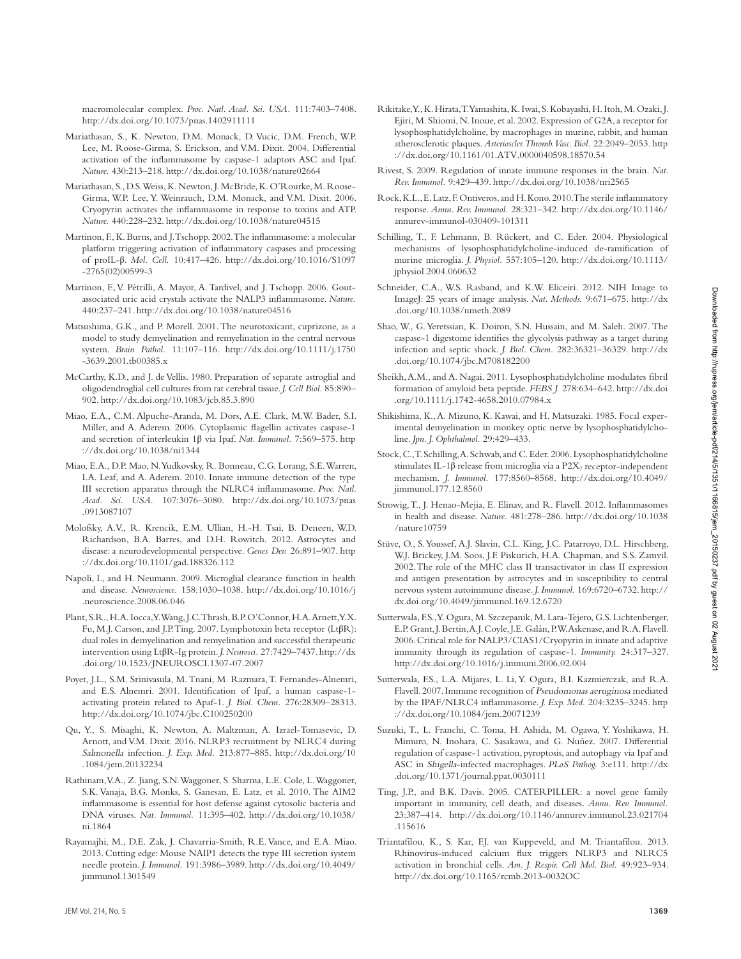macromolecular complex. *Proc. Natl. Acad. Sci. USA.* 111:7403–7408. http ://dx .doi .org /10 .1073 /pnas .1402911111

- Mariathasan, S., K. Newton, D.M. Monack, D. Vucic, D.M. French, W.P. Lee, M. Roose-Girma, S. Erickson, and V.M. Dixit. 2004. Differential activation of the inflammasome by caspase-1 adaptors ASC and Ipaf. *Nature.* 430:213–218. http ://dx .doi .org /10 .1038 /nature02664
- Mariathasan, S., D.S. Weiss, K. Newton, J. McBride, K. O'Rourke, M. Roose-Girma, W.P. Lee, Y. Weinrauch, D.M. Monack, and V.M. Dixit. 2006. Cryopyrin activates the inflammasome in response to toxins and ATP. *Nature.* 440:228–232. http ://dx .doi .org /10 .1038 /nature04515
- Martinon, F., K. Burns, and J. Tschopp. 2002. The inflammasome: a molecular platform triggering activation of inflammatory caspases and processing of proIL-β. *Mol. Cell.* 10:417–426. http ://dx .doi .org /10 .1016 /S1097  $-2765(02)00599 - 3$
- Martinon, F., V. Pétrilli, A. Mayor, A. Tardivel, and J. Tschopp. 2006. Goutassociated uric acid crystals activate the NALP3 inflammasome. *Nature.* 440:237–241. http ://dx .doi .org /10 .1038 /nature04516
- Matsushima, G.K., and P. Morell. 2001. The neurotoxicant, cuprizone, as a model to study demyelination and remyelination in the central nervous system. *Brain Pathol.* 11:107-116. http://dx.doi.org/10.1111/j.1750 -3639 .2001 .tb00385 .x
- McCarthy, K.D., and J. de Vellis. 1980. Preparation of separate astroglial and oligodendroglial cell cultures from rat cerebral tissue. *J. Cell Biol.* 85:890– 902. http ://dx .doi .org /10 .1083 /jcb .85 .3 .890
- Miao, E.A., C.M. Alpuche-Aranda, M. Dors, A.E. Clark, M.W. Bader, S.I. Miller, and A. Aderem. 2006. Cytoplasmic flagellin activates caspase-1 and secretion of interleukin 1β via Ipaf. *Nat. Immunol.* 7:569–575. http ://dx .doi .org /10 .1038 /ni1344
- Miao, E.A., D.P. Mao, N. Yudkovsky, R. Bonneau, C.G. Lorang, S.E. Warren, I.A. Leaf, and A. Aderem. 2010. Innate immune detection of the type III secretion apparatus through the NLRC4 inflammasome. *Proc. Natl.*  Acad. Sci. USA. 107:3076-3080. http://dx.doi.org/10.1073/pnas .0913087107
- Molofsky, A.V., R. Krencik, E.M. Ullian, H.-H. Tsai, B. Deneen, W.D. Richardson, B.A. Barres, and D.H. Rowitch. 2012. Astrocytes and disease: a neurodevelopmental perspective. *Genes Dev.* 26:891–907. http ://dx.doi.org/10.1101/gad.188326.112
- Napoli, I., and H. Neumann. 2009. Microglial clearance function in health and disease. *Neuroscience.* 158:1030-1038. http://dx.doi.org/10.1016/j .neuroscience .2008 .06 .046
- Plant, S.R., H.A. Iocca, Y. Wang, J.C. Thrash, B.P. O'Connor, H.A. Arnett, Y.X. Fu, M.J. Carson, and J.P. Ting. 2007. Lymphotoxin beta receptor (LtβR): dual roles in demyelination and remyelination and successful therapeutic intervention using LtβR-Ig protein. *J. Neurosci.* 27:7429–7437. http ://dx .doi .org /10 .1523 /JNE URO SCI .1307 -07 .2007
- Poyet, J.L., S.M. Srinivasula, M. Tnani, M. Razmara, T. Fernandes-Alnemri, and E.S. Alnemri. 2001. Identification of Ipaf, a human caspase-1 activating protein related to Apaf-1. *J. Biol. Chem.* 276:28309–28313. http ://dx .doi .org /10 .1074 /jbc .C100250200
- Qu, Y., S. Misaghi, K. Newton, A. Maltzman, A. Izrael-Tomasevic, D. Arnott, and V.M. Dixit. 2016. NLRP3 recruitment by NLRC4 during Salmonella infection. *J. Exp. Med.* 213:877-885. http://dx.doi.org/10 .1084 /jem .20132234
- Rathinam, V.A., Z. Jiang, S.N. Waggoner, S. Sharma, L.E. Cole, L. Waggoner, S.K. Vanaja, B.G. Monks, S. Ganesan, E. Latz, et al. 2010. The AIM2 inflammasome is essential for host defense against cytosolic bacteria and DNA viruses. Nat. Immunol. 11:395-402. http://dx.doi.org/10.1038/ ni .1864
- Rayamajhi, M., D.E. Zak, J. Chavarria-Smith, R.E. Vance, and E.A. Miao. 2013. Cutting edge: Mouse NAIP1 detects the type III secretion system needle protein. *J. Immunol.* 191:3986-3989. http://dx.doi.org/10.4049/ jimmunol.1301549
- Rikitake, Y., K. Hirata, T. Yamashita, K. Iwai, S. Kobayashi, H. Itoh, M. Ozaki, J. Ejiri, M. Shiomi, N. Inoue, et al. 2002. Expression of G2A, a receptor for lysophosphatidylcholine, by macrophages in murine, rabbit, and human atherosclerotic plaques. *Arterioscler. Thromb. Vasc. Biol.* 22:2049–2053. http ://dx .doi .org /10 .1161 /01 .ATV .0000040598 .18570 .54
- Rivest, S. 2009. Regulation of innate immune responses in the brain. *Nat. Rev. Immunol.* 9:429–439. http ://dx .doi .org /10 .1038 /nri2565
- Rock, K.L., E. Latz, F. Ontiveros, and H. Kono. 2010. The sterile inflammatory response. Annu. Rev. Immunol. 28:321-342. http://dx.doi.org/10.1146/ annurev -immunol -030409 -101311
- Schilling, T., F. Lehmann, B. Rückert, and C. Eder. 2004. Physiological mechanisms of lysophosphatidylcholine-induced de-ramification of murine microglia. *J. Physiol.* 557:105-120. http://dx.doi.org/10.1113/ jphysiol .2004 .060632
- Schneider, C.A., W.S. Rasband, and K.W. Eliceiri. 2012. NIH Image to ImageJ: 25 years of image analysis. *Nat. Methods.* 9:671-675. http://dx .doi .org /10 .1038 /nmeth .2089
- Shao, W., G. Yeretssian, K. Doiron, S.N. Hussain, and M. Saleh. 2007. The caspase-1 digestome identifies the glycolysis pathway as a target during infection and septic shock. *J. Biol. Chem.* 282:36321–36329. http ://dx .doi .org /10 .1074 /jbc .M708182200
- Sheikh, A.M., and A. Nagai. 2011. Lysophosphatidylcholine modulates fibril formation of amyloid beta peptide. *FEBS J.* 278:634–642. http ://dx .doi .org /10 .1111 /j .1742 -4658 .2010 .07984 .x
- Shikishima, K., A. Mizuno, K. Kawai, and H. Matsuzaki. 1985. Focal experimental demyelination in monkey optic nerve by lysophosphatidylcholine. *Jpn. J. Ophthalmol.* 29:429–433.
- Stock, C., T. Schilling, A. Schwab, and C. Eder. 2006. Lysophosphatidylcholine stimulates IL-1 $\beta$  release from microglia via a P2X<sub>7</sub> receptor-independent mechanism. *J. Immunol.* 177:8560-8568. http://dx.doi.org/10.4049/ jimmunol.177.12.8560
- Strowig, T., J. Henao-Mejia, E. Elinav, and R. Flavell. 2012. Inflammasomes in health and disease. *Nature.* 481:278-286. http://dx.doi.org/10.1038 /nature10759
- Stüve, O., S. Youssef, A.J. Slavin, C.L. King, J.C. Patarroyo, D.L. Hirschberg, W.J. Brickey, J.M. Soos, J.F. Piskurich, H.A. Chapman, and S.S. Zamvil. 2002. The role of the MHC class II transactivator in class II expression and antigen presentation by astrocytes and in susceptibility to central nervous system autoimmune disease. *J. Immunol.* 169:6720–6732. http :// dx .doi .org /10 .4049 /jimmunol .169 .12 .6720
- Sutterwala, F.S., Y. Ogura, M. Szczepanik, M. Lara-Tejero, G.S. Lichtenberger, E.P. Grant, J. Bertin, A.J. Coyle, J.E. Galán, P.W. Askenase, and R.A. Flavell. 2006. Critical role for NALP3/CIAS1/Cryopyrin in innate and adaptive immunity through its regulation of caspase-1. *Immunity.* 24:317–327. http ://dx .doi .org /10 .1016 /j .immuni .2006 .02 .004
- Sutterwala, F.S., L.A. Mijares, L. Li, Y. Ogura, B.I. Kazmierczak, and R.A. Flavell. 2007. Immune recognition of Pseudomonas aeruginosa mediated by the IPAF/NLRC4 inflammasome. *J. Exp. Med.* 204:3235–3245. http ://dx .doi .org /10 .1084 /jem .20071239
- Suzuki, T., L. Franchi, C. Toma, H. Ashida, M. Ogawa, Y. Yoshikawa, H. Mimuro, N. Inohara, C. Sasakawa, and G. Nuñez. 2007. Differential regulation of caspase-1 activation, pyroptosis, and autophagy via Ipaf and ASC in Shigella-infected macrophages. *PLoS Pathog.* 3:e111. http ://dx .doi .org /10 .1371 /journal .ppat .0030111
- Ting, J.P., and B.K. Davis. 2005. CATERPILLER: a novel gene family important in immunity, cell death, and diseases. *Annu. Rev. Immunol.* 23:387-414. http://dx.doi.org/10.1146/annurev.immunol.23.021704 .115616
- Triantafilou, K., S. Kar, F.J. van Kuppeveld, and M. Triantafilou. 2013. Rhinovirus-induced calcium flux triggers NLRP3 and NLRC5 activation in bronchial cells. *Am. J. Respir. Cell Mol. Biol.* 49:923–934. http ://dx .doi .org /10 .1165 /rcmb .2013 -0032OC